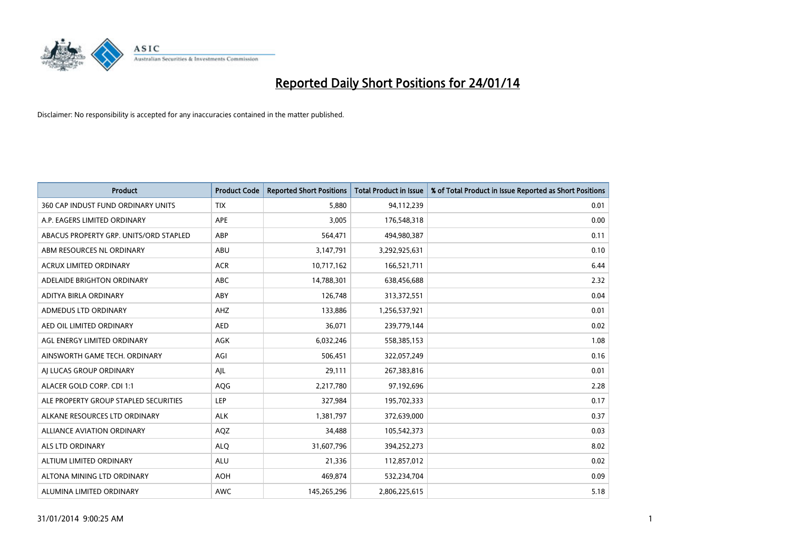

| <b>Product</b>                         | <b>Product Code</b> | <b>Reported Short Positions</b> | <b>Total Product in Issue</b> | % of Total Product in Issue Reported as Short Positions |
|----------------------------------------|---------------------|---------------------------------|-------------------------------|---------------------------------------------------------|
| 360 CAP INDUST FUND ORDINARY UNITS     | <b>TIX</b>          | 5,880                           | 94,112,239                    | 0.01                                                    |
| A.P. EAGERS LIMITED ORDINARY           | APE                 | 3,005                           | 176,548,318                   | 0.00                                                    |
| ABACUS PROPERTY GRP. UNITS/ORD STAPLED | ABP                 | 564,471                         | 494,980,387                   | 0.11                                                    |
| ABM RESOURCES NL ORDINARY              | ABU                 | 3,147,791                       | 3,292,925,631                 | 0.10                                                    |
| <b>ACRUX LIMITED ORDINARY</b>          | <b>ACR</b>          | 10,717,162                      | 166,521,711                   | 6.44                                                    |
| ADELAIDE BRIGHTON ORDINARY             | <b>ABC</b>          | 14,788,301                      | 638,456,688                   | 2.32                                                    |
| ADITYA BIRLA ORDINARY                  | ABY                 | 126,748                         | 313,372,551                   | 0.04                                                    |
| ADMEDUS LTD ORDINARY                   | AHZ                 | 133,886                         | 1,256,537,921                 | 0.01                                                    |
| AED OIL LIMITED ORDINARY               | <b>AED</b>          | 36,071                          | 239,779,144                   | 0.02                                                    |
| AGL ENERGY LIMITED ORDINARY            | <b>AGK</b>          | 6,032,246                       | 558,385,153                   | 1.08                                                    |
| AINSWORTH GAME TECH. ORDINARY          | AGI                 | 506,451                         | 322,057,249                   | 0.16                                                    |
| AI LUCAS GROUP ORDINARY                | AJL                 | 29,111                          | 267,383,816                   | 0.01                                                    |
| ALACER GOLD CORP. CDI 1:1              | AQG                 | 2,217,780                       | 97,192,696                    | 2.28                                                    |
| ALE PROPERTY GROUP STAPLED SECURITIES  | LEP                 | 327,984                         | 195,702,333                   | 0.17                                                    |
| ALKANE RESOURCES LTD ORDINARY          | <b>ALK</b>          | 1,381,797                       | 372,639,000                   | 0.37                                                    |
| ALLIANCE AVIATION ORDINARY             | AQZ                 | 34,488                          | 105,542,373                   | 0.03                                                    |
| ALS LTD ORDINARY                       | <b>ALQ</b>          | 31,607,796                      | 394,252,273                   | 8.02                                                    |
| ALTIUM LIMITED ORDINARY                | ALU                 | 21,336                          | 112,857,012                   | 0.02                                                    |
| ALTONA MINING LTD ORDINARY             | <b>AOH</b>          | 469,874                         | 532,234,704                   | 0.09                                                    |
| ALUMINA LIMITED ORDINARY               | <b>AWC</b>          | 145,265,296                     | 2,806,225,615                 | 5.18                                                    |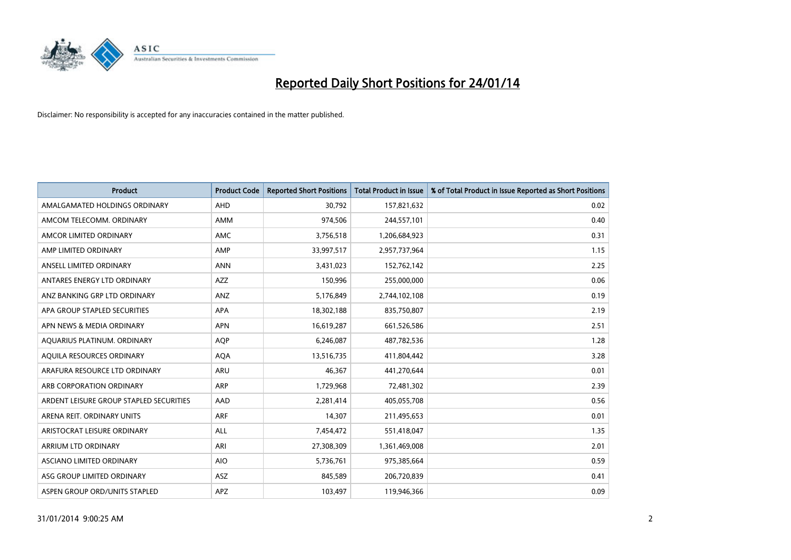

| <b>Product</b>                          | <b>Product Code</b> | <b>Reported Short Positions</b> | <b>Total Product in Issue</b> | % of Total Product in Issue Reported as Short Positions |
|-----------------------------------------|---------------------|---------------------------------|-------------------------------|---------------------------------------------------------|
| AMALGAMATED HOLDINGS ORDINARY           | <b>AHD</b>          | 30,792                          | 157,821,632                   | 0.02                                                    |
| AMCOM TELECOMM. ORDINARY                | AMM                 | 974,506                         | 244,557,101                   | 0.40                                                    |
| AMCOR LIMITED ORDINARY                  | <b>AMC</b>          | 3,756,518                       | 1,206,684,923                 | 0.31                                                    |
| AMP LIMITED ORDINARY                    | AMP                 | 33,997,517                      | 2,957,737,964                 | 1.15                                                    |
| ANSELL LIMITED ORDINARY                 | <b>ANN</b>          | 3,431,023                       | 152,762,142                   | 2.25                                                    |
| ANTARES ENERGY LTD ORDINARY             | <b>AZZ</b>          | 150,996                         | 255,000,000                   | 0.06                                                    |
| ANZ BANKING GRP LTD ORDINARY            | <b>ANZ</b>          | 5,176,849                       | 2,744,102,108                 | 0.19                                                    |
| APA GROUP STAPLED SECURITIES            | APA                 | 18,302,188                      | 835,750,807                   | 2.19                                                    |
| APN NEWS & MEDIA ORDINARY               | <b>APN</b>          | 16,619,287                      | 661,526,586                   | 2.51                                                    |
| AQUARIUS PLATINUM. ORDINARY             | <b>AOP</b>          | 6,246,087                       | 487,782,536                   | 1.28                                                    |
| AQUILA RESOURCES ORDINARY               | <b>AQA</b>          | 13,516,735                      | 411,804,442                   | 3.28                                                    |
| ARAFURA RESOURCE LTD ORDINARY           | ARU                 | 46,367                          | 441,270,644                   | 0.01                                                    |
| ARB CORPORATION ORDINARY                | <b>ARP</b>          | 1,729,968                       | 72,481,302                    | 2.39                                                    |
| ARDENT LEISURE GROUP STAPLED SECURITIES | AAD                 | 2,281,414                       | 405,055,708                   | 0.56                                                    |
| ARENA REIT. ORDINARY UNITS              | <b>ARF</b>          | 14,307                          | 211,495,653                   | 0.01                                                    |
| ARISTOCRAT LEISURE ORDINARY             | ALL                 | 7,454,472                       | 551,418,047                   | 1.35                                                    |
| ARRIUM LTD ORDINARY                     | ARI                 | 27,308,309                      | 1,361,469,008                 | 2.01                                                    |
| ASCIANO LIMITED ORDINARY                | <b>AIO</b>          | 5,736,761                       | 975,385,664                   | 0.59                                                    |
| ASG GROUP LIMITED ORDINARY              | <b>ASZ</b>          | 845,589                         | 206,720,839                   | 0.41                                                    |
| ASPEN GROUP ORD/UNITS STAPLED           | APZ                 | 103,497                         | 119,946,366                   | 0.09                                                    |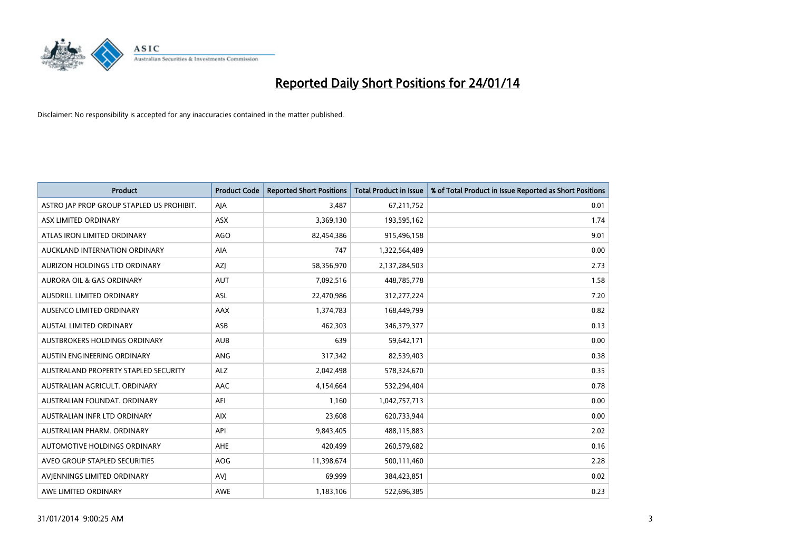

| <b>Product</b>                            | <b>Product Code</b> | <b>Reported Short Positions</b> | <b>Total Product in Issue</b> | % of Total Product in Issue Reported as Short Positions |
|-------------------------------------------|---------------------|---------------------------------|-------------------------------|---------------------------------------------------------|
| ASTRO JAP PROP GROUP STAPLED US PROHIBIT. | AJA                 | 3,487                           | 67,211,752                    | 0.01                                                    |
| ASX LIMITED ORDINARY                      | ASX                 | 3,369,130                       | 193,595,162                   | 1.74                                                    |
| ATLAS IRON LIMITED ORDINARY               | <b>AGO</b>          | 82,454,386                      | 915,496,158                   | 9.01                                                    |
| AUCKLAND INTERNATION ORDINARY             | AIA                 | 747                             | 1,322,564,489                 | 0.00                                                    |
| AURIZON HOLDINGS LTD ORDINARY             | <b>AZI</b>          | 58,356,970                      | 2,137,284,503                 | 2.73                                                    |
| <b>AURORA OIL &amp; GAS ORDINARY</b>      | <b>AUT</b>          | 7,092,516                       | 448,785,778                   | 1.58                                                    |
| AUSDRILL LIMITED ORDINARY                 | <b>ASL</b>          | 22,470,986                      | 312,277,224                   | 7.20                                                    |
| AUSENCO LIMITED ORDINARY                  | AAX                 | 1,374,783                       | 168,449,799                   | 0.82                                                    |
| <b>AUSTAL LIMITED ORDINARY</b>            | ASB                 | 462,303                         | 346, 379, 377                 | 0.13                                                    |
| <b>AUSTBROKERS HOLDINGS ORDINARY</b>      | <b>AUB</b>          | 639                             | 59,642,171                    | 0.00                                                    |
| AUSTIN ENGINEERING ORDINARY               | ANG                 | 317,342                         | 82,539,403                    | 0.38                                                    |
| AUSTRALAND PROPERTY STAPLED SECURITY      | <b>ALZ</b>          | 2,042,498                       | 578,324,670                   | 0.35                                                    |
| AUSTRALIAN AGRICULT. ORDINARY             | AAC                 | 4,154,664                       | 532,294,404                   | 0.78                                                    |
| AUSTRALIAN FOUNDAT, ORDINARY              | AFI                 | 1,160                           | 1,042,757,713                 | 0.00                                                    |
| AUSTRALIAN INFR LTD ORDINARY              | <b>AIX</b>          | 23,608                          | 620,733,944                   | 0.00                                                    |
| AUSTRALIAN PHARM. ORDINARY                | API                 | 9,843,405                       | 488,115,883                   | 2.02                                                    |
| AUTOMOTIVE HOLDINGS ORDINARY              | AHE                 | 420,499                         | 260,579,682                   | 0.16                                                    |
| AVEO GROUP STAPLED SECURITIES             | <b>AOG</b>          | 11,398,674                      | 500,111,460                   | 2.28                                                    |
| AVIENNINGS LIMITED ORDINARY               | <b>AVI</b>          | 69,999                          | 384,423,851                   | 0.02                                                    |
| AWE LIMITED ORDINARY                      | AWE                 | 1,183,106                       | 522,696,385                   | 0.23                                                    |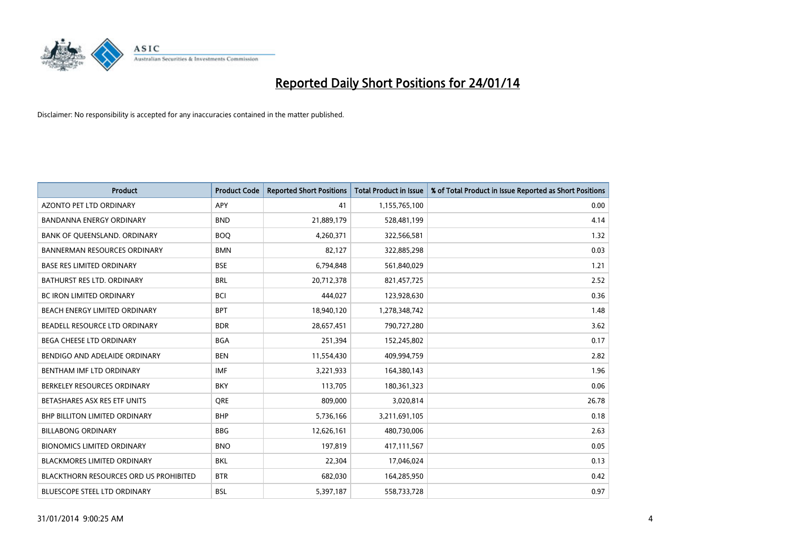

| <b>Product</b>                                | <b>Product Code</b> | <b>Reported Short Positions</b> | <b>Total Product in Issue</b> | % of Total Product in Issue Reported as Short Positions |
|-----------------------------------------------|---------------------|---------------------------------|-------------------------------|---------------------------------------------------------|
| <b>AZONTO PET LTD ORDINARY</b>                | APY                 | 41                              | 1,155,765,100                 | 0.00                                                    |
| BANDANNA ENERGY ORDINARY                      | <b>BND</b>          | 21,889,179                      | 528,481,199                   | 4.14                                                    |
| BANK OF QUEENSLAND. ORDINARY                  | <b>BOQ</b>          | 4,260,371                       | 322,566,581                   | 1.32                                                    |
| <b>BANNERMAN RESOURCES ORDINARY</b>           | <b>BMN</b>          | 82,127                          | 322,885,298                   | 0.03                                                    |
| <b>BASE RES LIMITED ORDINARY</b>              | <b>BSE</b>          | 6,794,848                       | 561,840,029                   | 1.21                                                    |
| <b>BATHURST RES LTD. ORDINARY</b>             | <b>BRL</b>          | 20,712,378                      | 821,457,725                   | 2.52                                                    |
| <b>BC IRON LIMITED ORDINARY</b>               | <b>BCI</b>          | 444,027                         | 123,928,630                   | 0.36                                                    |
| BEACH ENERGY LIMITED ORDINARY                 | <b>BPT</b>          | 18,940,120                      | 1,278,348,742                 | 1.48                                                    |
| BEADELL RESOURCE LTD ORDINARY                 | <b>BDR</b>          | 28,657,451                      | 790,727,280                   | 3.62                                                    |
| <b>BEGA CHEESE LTD ORDINARY</b>               | <b>BGA</b>          | 251,394                         | 152,245,802                   | 0.17                                                    |
| BENDIGO AND ADELAIDE ORDINARY                 | <b>BEN</b>          | 11,554,430                      | 409,994,759                   | 2.82                                                    |
| BENTHAM IMF LTD ORDINARY                      | <b>IMF</b>          | 3,221,933                       | 164,380,143                   | 1.96                                                    |
| BERKELEY RESOURCES ORDINARY                   | <b>BKY</b>          | 113,705                         | 180,361,323                   | 0.06                                                    |
| BETASHARES ASX RES ETF UNITS                  | <b>ORE</b>          | 809,000                         | 3,020,814                     | 26.78                                                   |
| <b>BHP BILLITON LIMITED ORDINARY</b>          | <b>BHP</b>          | 5,736,166                       | 3,211,691,105                 | 0.18                                                    |
| <b>BILLABONG ORDINARY</b>                     | <b>BBG</b>          | 12,626,161                      | 480,730,006                   | 2.63                                                    |
| <b>BIONOMICS LIMITED ORDINARY</b>             | <b>BNO</b>          | 197,819                         | 417,111,567                   | 0.05                                                    |
| <b>BLACKMORES LIMITED ORDINARY</b>            | <b>BKL</b>          | 22,304                          | 17,046,024                    | 0.13                                                    |
| <b>BLACKTHORN RESOURCES ORD US PROHIBITED</b> | <b>BTR</b>          | 682,030                         | 164,285,950                   | 0.42                                                    |
| BLUESCOPE STEEL LTD ORDINARY                  | BSL                 | 5,397,187                       | 558,733,728                   | 0.97                                                    |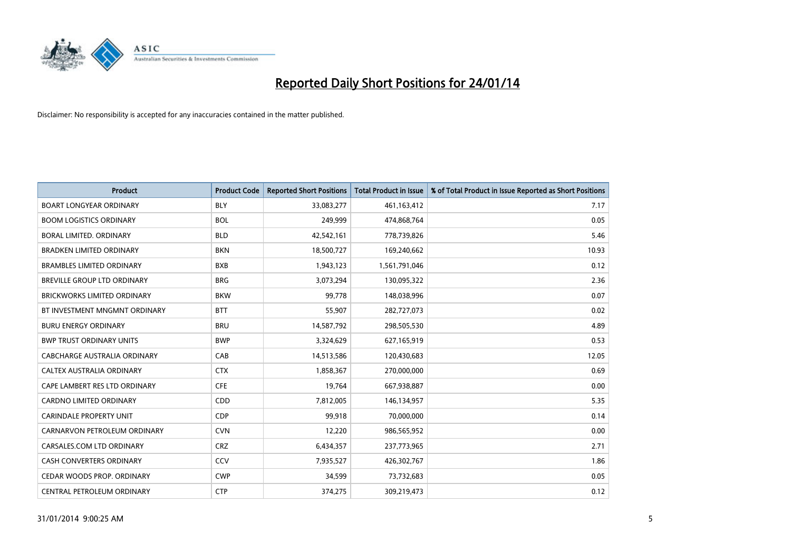

| <b>Product</b>                     | <b>Product Code</b> | <b>Reported Short Positions</b> | <b>Total Product in Issue</b> | % of Total Product in Issue Reported as Short Positions |
|------------------------------------|---------------------|---------------------------------|-------------------------------|---------------------------------------------------------|
| <b>BOART LONGYEAR ORDINARY</b>     | <b>BLY</b>          | 33,083,277                      | 461,163,412                   | 7.17                                                    |
| <b>BOOM LOGISTICS ORDINARY</b>     | <b>BOL</b>          | 249,999                         | 474,868,764                   | 0.05                                                    |
| BORAL LIMITED, ORDINARY            | <b>BLD</b>          | 42,542,161                      | 778,739,826                   | 5.46                                                    |
| <b>BRADKEN LIMITED ORDINARY</b>    | <b>BKN</b>          | 18,500,727                      | 169,240,662                   | 10.93                                                   |
| <b>BRAMBLES LIMITED ORDINARY</b>   | <b>BXB</b>          | 1,943,123                       | 1,561,791,046                 | 0.12                                                    |
| BREVILLE GROUP LTD ORDINARY        | <b>BRG</b>          | 3,073,294                       | 130,095,322                   | 2.36                                                    |
| <b>BRICKWORKS LIMITED ORDINARY</b> | <b>BKW</b>          | 99,778                          | 148,038,996                   | 0.07                                                    |
| BT INVESTMENT MNGMNT ORDINARY      | <b>BTT</b>          | 55,907                          | 282,727,073                   | 0.02                                                    |
| <b>BURU ENERGY ORDINARY</b>        | <b>BRU</b>          | 14,587,792                      | 298,505,530                   | 4.89                                                    |
| <b>BWP TRUST ORDINARY UNITS</b>    | <b>BWP</b>          | 3,324,629                       | 627,165,919                   | 0.53                                                    |
| CABCHARGE AUSTRALIA ORDINARY       | CAB                 | 14,513,586                      | 120,430,683                   | 12.05                                                   |
| CALTEX AUSTRALIA ORDINARY          | <b>CTX</b>          | 1,858,367                       | 270,000,000                   | 0.69                                                    |
| CAPE LAMBERT RES LTD ORDINARY      | <b>CFE</b>          | 19,764                          | 667,938,887                   | 0.00                                                    |
| <b>CARDNO LIMITED ORDINARY</b>     | CDD                 | 7,812,005                       | 146,134,957                   | 5.35                                                    |
| <b>CARINDALE PROPERTY UNIT</b>     | <b>CDP</b>          | 99,918                          | 70,000,000                    | 0.14                                                    |
| CARNARVON PETROLEUM ORDINARY       | <b>CVN</b>          | 12,220                          | 986,565,952                   | 0.00                                                    |
| CARSALES.COM LTD ORDINARY          | <b>CRZ</b>          | 6,434,357                       | 237,773,965                   | 2.71                                                    |
| CASH CONVERTERS ORDINARY           | CCV                 | 7,935,527                       | 426,302,767                   | 1.86                                                    |
| CEDAR WOODS PROP. ORDINARY         | <b>CWP</b>          | 34,599                          | 73,732,683                    | 0.05                                                    |
| CENTRAL PETROLEUM ORDINARY         | <b>CTP</b>          | 374,275                         | 309,219,473                   | 0.12                                                    |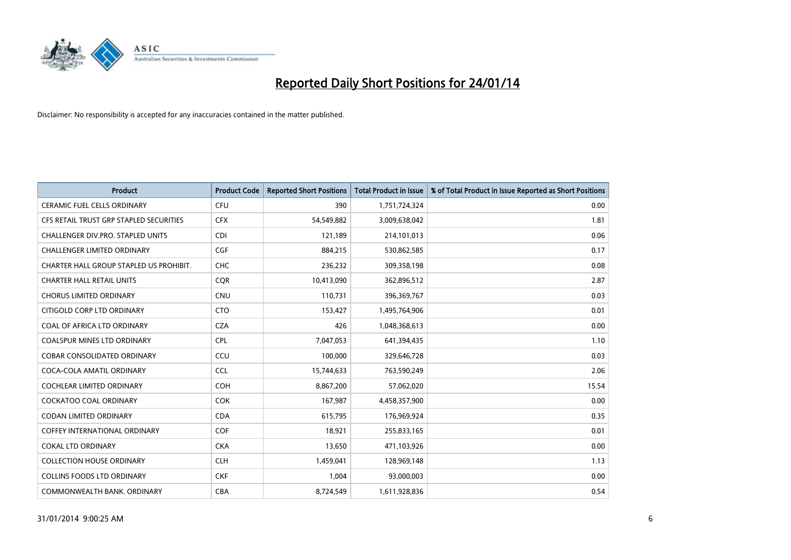

| <b>Product</b>                          | <b>Product Code</b> | <b>Reported Short Positions</b> | <b>Total Product in Issue</b> | % of Total Product in Issue Reported as Short Positions |
|-----------------------------------------|---------------------|---------------------------------|-------------------------------|---------------------------------------------------------|
| <b>CERAMIC FUEL CELLS ORDINARY</b>      | <b>CFU</b>          | 390                             | 1,751,724,324                 | 0.00                                                    |
| CFS RETAIL TRUST GRP STAPLED SECURITIES | <b>CFX</b>          | 54,549,882                      | 3,009,638,042                 | 1.81                                                    |
| CHALLENGER DIV.PRO. STAPLED UNITS       | <b>CDI</b>          | 121,189                         | 214,101,013                   | 0.06                                                    |
| <b>CHALLENGER LIMITED ORDINARY</b>      | <b>CGF</b>          | 884,215                         | 530,862,585                   | 0.17                                                    |
| CHARTER HALL GROUP STAPLED US PROHIBIT. | <b>CHC</b>          | 236,232                         | 309,358,198                   | 0.08                                                    |
| <b>CHARTER HALL RETAIL UNITS</b>        | CQR                 | 10,413,090                      | 362,896,512                   | 2.87                                                    |
| <b>CHORUS LIMITED ORDINARY</b>          | <b>CNU</b>          | 110,731                         | 396,369,767                   | 0.03                                                    |
| CITIGOLD CORP LTD ORDINARY              | <b>CTO</b>          | 153,427                         | 1,495,764,906                 | 0.01                                                    |
| COAL OF AFRICA LTD ORDINARY             | <b>CZA</b>          | 426                             | 1,048,368,613                 | 0.00                                                    |
| <b>COALSPUR MINES LTD ORDINARY</b>      | <b>CPL</b>          | 7,047,053                       | 641,394,435                   | 1.10                                                    |
| <b>COBAR CONSOLIDATED ORDINARY</b>      | CCU                 | 100,000                         | 329,646,728                   | 0.03                                                    |
| COCA-COLA AMATIL ORDINARY               | <b>CCL</b>          | 15,744,633                      | 763,590,249                   | 2.06                                                    |
| <b>COCHLEAR LIMITED ORDINARY</b>        | <b>COH</b>          | 8,867,200                       | 57,062,020                    | 15.54                                                   |
| <b>COCKATOO COAL ORDINARY</b>           | <b>COK</b>          | 167,987                         | 4,458,357,900                 | 0.00                                                    |
| <b>CODAN LIMITED ORDINARY</b>           | <b>CDA</b>          | 615,795                         | 176,969,924                   | 0.35                                                    |
| <b>COFFEY INTERNATIONAL ORDINARY</b>    | <b>COF</b>          | 18.921                          | 255,833,165                   | 0.01                                                    |
| <b>COKAL LTD ORDINARY</b>               | <b>CKA</b>          | 13,650                          | 471,103,926                   | 0.00                                                    |
| <b>COLLECTION HOUSE ORDINARY</b>        | <b>CLH</b>          | 1,459,041                       | 128,969,148                   | 1.13                                                    |
| <b>COLLINS FOODS LTD ORDINARY</b>       | <b>CKF</b>          | 1,004                           | 93,000,003                    | 0.00                                                    |
| COMMONWEALTH BANK, ORDINARY             | <b>CBA</b>          | 8,724,549                       | 1,611,928,836                 | 0.54                                                    |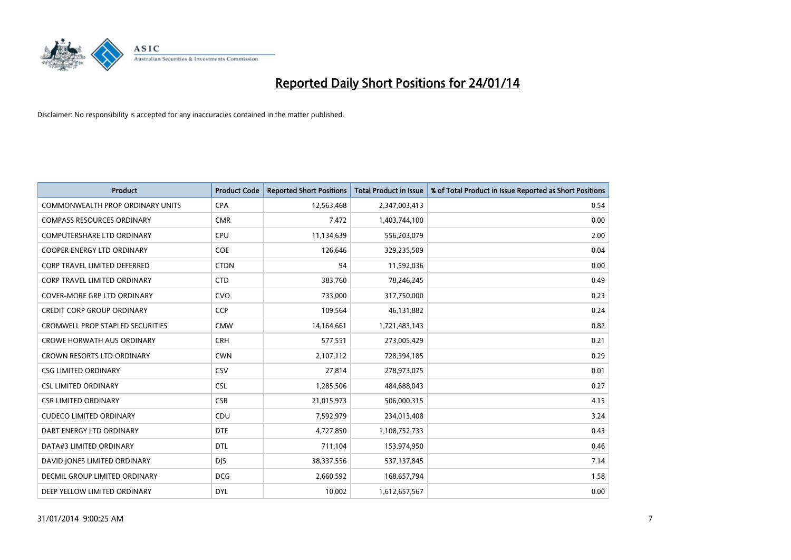

| <b>Product</b>                          | <b>Product Code</b> | <b>Reported Short Positions</b> | <b>Total Product in Issue</b> | % of Total Product in Issue Reported as Short Positions |
|-----------------------------------------|---------------------|---------------------------------|-------------------------------|---------------------------------------------------------|
| <b>COMMONWEALTH PROP ORDINARY UNITS</b> | <b>CPA</b>          | 12,563,468                      | 2,347,003,413                 | 0.54                                                    |
| <b>COMPASS RESOURCES ORDINARY</b>       | <b>CMR</b>          | 7,472                           | 1,403,744,100                 | 0.00                                                    |
| <b>COMPUTERSHARE LTD ORDINARY</b>       | <b>CPU</b>          | 11,134,639                      | 556,203,079                   | 2.00                                                    |
| <b>COOPER ENERGY LTD ORDINARY</b>       | <b>COE</b>          | 126,646                         | 329,235,509                   | 0.04                                                    |
| <b>CORP TRAVEL LIMITED DEFERRED</b>     | <b>CTDN</b>         | 94                              | 11,592,036                    | 0.00                                                    |
| CORP TRAVEL LIMITED ORDINARY            | <b>CTD</b>          | 383,760                         | 78,246,245                    | 0.49                                                    |
| <b>COVER-MORE GRP LTD ORDINARY</b>      | <b>CVO</b>          | 733,000                         | 317,750,000                   | 0.23                                                    |
| <b>CREDIT CORP GROUP ORDINARY</b>       | <b>CCP</b>          | 109,564                         | 46,131,882                    | 0.24                                                    |
| <b>CROMWELL PROP STAPLED SECURITIES</b> | <b>CMW</b>          | 14,164,661                      | 1,721,483,143                 | 0.82                                                    |
| <b>CROWE HORWATH AUS ORDINARY</b>       | <b>CRH</b>          | 577,551                         | 273,005,429                   | 0.21                                                    |
| CROWN RESORTS LTD ORDINARY              | <b>CWN</b>          | 2,107,112                       | 728,394,185                   | 0.29                                                    |
| <b>CSG LIMITED ORDINARY</b>             | CSV                 | 27,814                          | 278,973,075                   | 0.01                                                    |
| <b>CSL LIMITED ORDINARY</b>             | <b>CSL</b>          | 1,285,506                       | 484,688,043                   | 0.27                                                    |
| <b>CSR LIMITED ORDINARY</b>             | <b>CSR</b>          | 21,015,973                      | 506,000,315                   | 4.15                                                    |
| <b>CUDECO LIMITED ORDINARY</b>          | CDU                 | 7,592,979                       | 234,013,408                   | 3.24                                                    |
| DART ENERGY LTD ORDINARY                | <b>DTE</b>          | 4,727,850                       | 1,108,752,733                 | 0.43                                                    |
| DATA#3 LIMITED ORDINARY                 | <b>DTL</b>          | 711,104                         | 153,974,950                   | 0.46                                                    |
| DAVID JONES LIMITED ORDINARY            | <b>DJS</b>          | 38,337,556                      | 537,137,845                   | 7.14                                                    |
| DECMIL GROUP LIMITED ORDINARY           | <b>DCG</b>          | 2,660,592                       | 168,657,794                   | 1.58                                                    |
| DEEP YELLOW LIMITED ORDINARY            | <b>DYL</b>          | 10,002                          | 1,612,657,567                 | 0.00                                                    |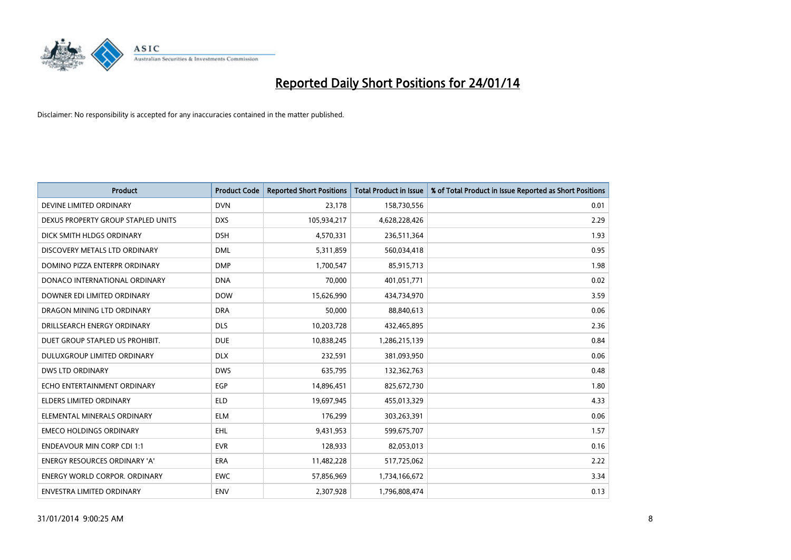

| <b>Product</b>                       | <b>Product Code</b> | <b>Reported Short Positions</b> | <b>Total Product in Issue</b> | % of Total Product in Issue Reported as Short Positions |
|--------------------------------------|---------------------|---------------------------------|-------------------------------|---------------------------------------------------------|
| DEVINE LIMITED ORDINARY              | <b>DVN</b>          | 23,178                          | 158,730,556                   | 0.01                                                    |
| DEXUS PROPERTY GROUP STAPLED UNITS   | <b>DXS</b>          | 105,934,217                     | 4,628,228,426                 | 2.29                                                    |
| DICK SMITH HLDGS ORDINARY            | <b>DSH</b>          | 4,570,331                       | 236,511,364                   | 1.93                                                    |
| DISCOVERY METALS LTD ORDINARY        | <b>DML</b>          | 5,311,859                       | 560,034,418                   | 0.95                                                    |
| DOMINO PIZZA ENTERPR ORDINARY        | <b>DMP</b>          | 1,700,547                       | 85,915,713                    | 1.98                                                    |
| DONACO INTERNATIONAL ORDINARY        | <b>DNA</b>          | 70,000                          | 401,051,771                   | 0.02                                                    |
| DOWNER EDI LIMITED ORDINARY          | <b>DOW</b>          | 15,626,990                      | 434,734,970                   | 3.59                                                    |
| DRAGON MINING LTD ORDINARY           | <b>DRA</b>          | 50,000                          | 88,840,613                    | 0.06                                                    |
| DRILLSEARCH ENERGY ORDINARY          | <b>DLS</b>          | 10,203,728                      | 432,465,895                   | 2.36                                                    |
| DUET GROUP STAPLED US PROHIBIT.      | <b>DUE</b>          | 10,838,245                      | 1,286,215,139                 | 0.84                                                    |
| DULUXGROUP LIMITED ORDINARY          | <b>DLX</b>          | 232,591                         | 381,093,950                   | 0.06                                                    |
| <b>DWS LTD ORDINARY</b>              | <b>DWS</b>          | 635,795                         | 132,362,763                   | 0.48                                                    |
| ECHO ENTERTAINMENT ORDINARY          | <b>EGP</b>          | 14,896,451                      | 825,672,730                   | 1.80                                                    |
| <b>ELDERS LIMITED ORDINARY</b>       | <b>ELD</b>          | 19,697,945                      | 455,013,329                   | 4.33                                                    |
| ELEMENTAL MINERALS ORDINARY          | <b>ELM</b>          | 176,299                         | 303,263,391                   | 0.06                                                    |
| <b>EMECO HOLDINGS ORDINARY</b>       | EHL                 | 9,431,953                       | 599,675,707                   | 1.57                                                    |
| <b>ENDEAVOUR MIN CORP CDI 1:1</b>    | <b>EVR</b>          | 128,933                         | 82,053,013                    | 0.16                                                    |
| ENERGY RESOURCES ORDINARY 'A'        | <b>ERA</b>          | 11,482,228                      | 517,725,062                   | 2.22                                                    |
| <b>ENERGY WORLD CORPOR, ORDINARY</b> | <b>EWC</b>          | 57,856,969                      | 1,734,166,672                 | 3.34                                                    |
| ENVESTRA LIMITED ORDINARY            | <b>ENV</b>          | 2,307,928                       | 1,796,808,474                 | 0.13                                                    |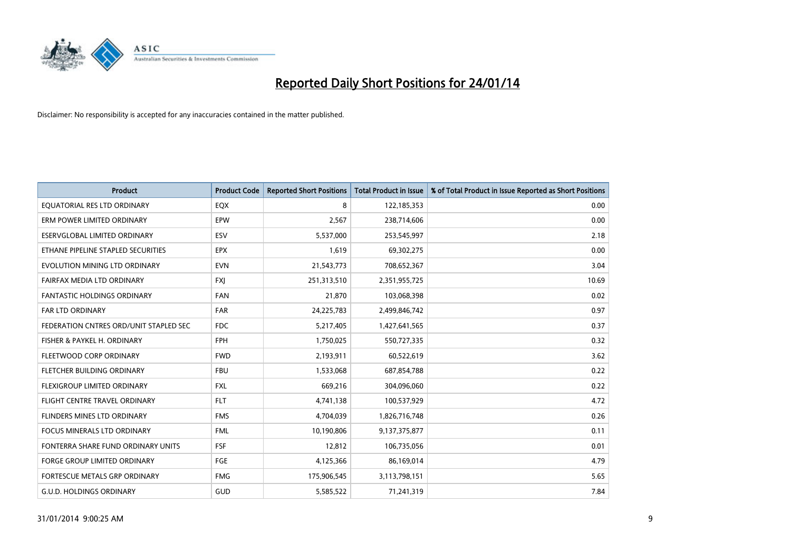

| <b>Product</b>                         | <b>Product Code</b> | <b>Reported Short Positions</b> | <b>Total Product in Issue</b> | % of Total Product in Issue Reported as Short Positions |
|----------------------------------------|---------------------|---------------------------------|-------------------------------|---------------------------------------------------------|
| EQUATORIAL RES LTD ORDINARY            | EQX                 | 8                               | 122,185,353                   | 0.00                                                    |
| ERM POWER LIMITED ORDINARY             | EPW                 | 2,567                           | 238,714,606                   | 0.00                                                    |
| ESERVGLOBAL LIMITED ORDINARY           | ESV                 | 5,537,000                       | 253,545,997                   | 2.18                                                    |
| ETHANE PIPELINE STAPLED SECURITIES     | <b>EPX</b>          | 1,619                           | 69,302,275                    | 0.00                                                    |
| EVOLUTION MINING LTD ORDINARY          | <b>EVN</b>          | 21,543,773                      | 708,652,367                   | 3.04                                                    |
| FAIRFAX MEDIA LTD ORDINARY             | FXJ                 | 251,313,510                     | 2,351,955,725                 | 10.69                                                   |
| FANTASTIC HOLDINGS ORDINARY            | <b>FAN</b>          | 21,870                          | 103,068,398                   | 0.02                                                    |
| FAR LTD ORDINARY                       | FAR                 | 24,225,783                      | 2,499,846,742                 | 0.97                                                    |
| FEDERATION CNTRES ORD/UNIT STAPLED SEC | <b>FDC</b>          | 5,217,405                       | 1,427,641,565                 | 0.37                                                    |
| FISHER & PAYKEL H. ORDINARY            | <b>FPH</b>          | 1,750,025                       | 550,727,335                   | 0.32                                                    |
| FLEETWOOD CORP ORDINARY                | <b>FWD</b>          | 2,193,911                       | 60,522,619                    | 3.62                                                    |
| FLETCHER BUILDING ORDINARY             | <b>FBU</b>          | 1,533,068                       | 687,854,788                   | 0.22                                                    |
| FLEXIGROUP LIMITED ORDINARY            | <b>FXL</b>          | 669,216                         | 304,096,060                   | 0.22                                                    |
| FLIGHT CENTRE TRAVEL ORDINARY          | <b>FLT</b>          | 4,741,138                       | 100,537,929                   | 4.72                                                    |
| FLINDERS MINES LTD ORDINARY            | <b>FMS</b>          | 4,704,039                       | 1,826,716,748                 | 0.26                                                    |
| <b>FOCUS MINERALS LTD ORDINARY</b>     | <b>FML</b>          | 10,190,806                      | 9,137,375,877                 | 0.11                                                    |
| FONTERRA SHARE FUND ORDINARY UNITS     | <b>FSF</b>          | 12,812                          | 106,735,056                   | 0.01                                                    |
| FORGE GROUP LIMITED ORDINARY           | FGE                 | 4,125,366                       | 86,169,014                    | 4.79                                                    |
| FORTESCUE METALS GRP ORDINARY          | <b>FMG</b>          | 175,906,545                     | 3,113,798,151                 | 5.65                                                    |
| <b>G.U.D. HOLDINGS ORDINARY</b>        | GUD                 | 5,585,522                       | 71,241,319                    | 7.84                                                    |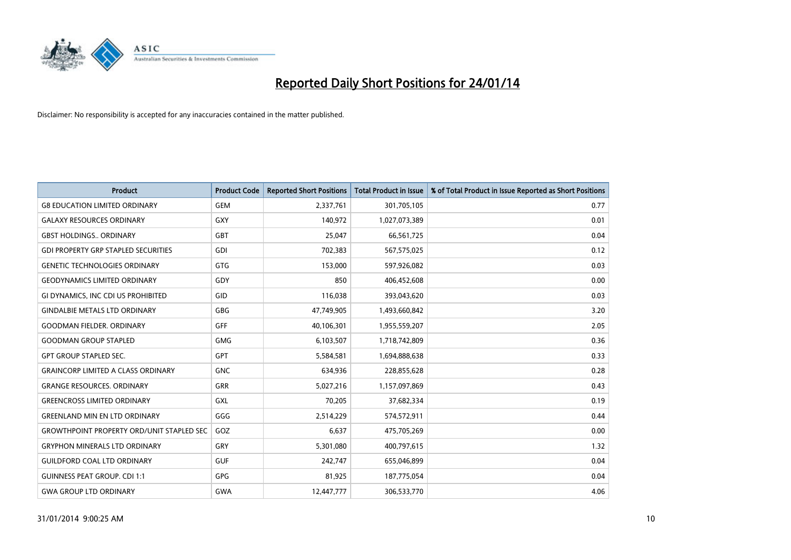

| <b>Product</b>                                   | <b>Product Code</b> | <b>Reported Short Positions</b> | <b>Total Product in Issue</b> | % of Total Product in Issue Reported as Short Positions |
|--------------------------------------------------|---------------------|---------------------------------|-------------------------------|---------------------------------------------------------|
| <b>G8 EDUCATION LIMITED ORDINARY</b>             | <b>GEM</b>          | 2,337,761                       | 301,705,105                   | 0.77                                                    |
| <b>GALAXY RESOURCES ORDINARY</b>                 | <b>GXY</b>          | 140,972                         | 1,027,073,389                 | 0.01                                                    |
| <b>GBST HOLDINGS ORDINARY</b>                    | <b>GBT</b>          | 25,047                          | 66,561,725                    | 0.04                                                    |
| <b>GDI PROPERTY GRP STAPLED SECURITIES</b>       | <b>GDI</b>          | 702,383                         | 567,575,025                   | 0.12                                                    |
| <b>GENETIC TECHNOLOGIES ORDINARY</b>             | <b>GTG</b>          | 153,000                         | 597,926,082                   | 0.03                                                    |
| <b>GEODYNAMICS LIMITED ORDINARY</b>              | GDY                 | 850                             | 406,452,608                   | 0.00                                                    |
| GI DYNAMICS, INC CDI US PROHIBITED               | <b>GID</b>          | 116,038                         | 393,043,620                   | 0.03                                                    |
| <b>GINDALBIE METALS LTD ORDINARY</b>             | GBG                 | 47,749,905                      | 1,493,660,842                 | 3.20                                                    |
| <b>GOODMAN FIELDER, ORDINARY</b>                 | <b>GFF</b>          | 40,106,301                      | 1,955,559,207                 | 2.05                                                    |
| <b>GOODMAN GROUP STAPLED</b>                     | <b>GMG</b>          | 6,103,507                       | 1,718,742,809                 | 0.36                                                    |
| <b>GPT GROUP STAPLED SEC.</b>                    | GPT                 | 5,584,581                       | 1,694,888,638                 | 0.33                                                    |
| <b>GRAINCORP LIMITED A CLASS ORDINARY</b>        | <b>GNC</b>          | 634,936                         | 228,855,628                   | 0.28                                                    |
| <b>GRANGE RESOURCES. ORDINARY</b>                | <b>GRR</b>          | 5,027,216                       | 1,157,097,869                 | 0.43                                                    |
| <b>GREENCROSS LIMITED ORDINARY</b>               | GXL                 | 70,205                          | 37,682,334                    | 0.19                                                    |
| <b>GREENLAND MIN EN LTD ORDINARY</b>             | GGG                 | 2,514,229                       | 574,572,911                   | 0.44                                                    |
| <b>GROWTHPOINT PROPERTY ORD/UNIT STAPLED SEC</b> | GOZ                 | 6,637                           | 475,705,269                   | 0.00                                                    |
| <b>GRYPHON MINERALS LTD ORDINARY</b>             | GRY                 | 5,301,080                       | 400,797,615                   | 1.32                                                    |
| <b>GUILDFORD COAL LTD ORDINARY</b>               | <b>GUF</b>          | 242.747                         | 655,046,899                   | 0.04                                                    |
| <b>GUINNESS PEAT GROUP. CDI 1:1</b>              | <b>GPG</b>          | 81,925                          | 187,775,054                   | 0.04                                                    |
| <b>GWA GROUP LTD ORDINARY</b>                    | <b>GWA</b>          | 12,447,777                      | 306,533,770                   | 4.06                                                    |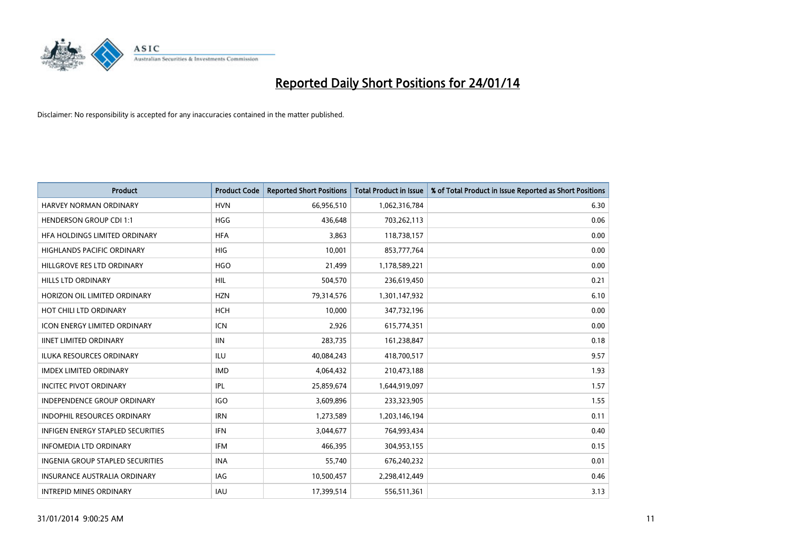

| <b>Product</b>                      | <b>Product Code</b> | <b>Reported Short Positions</b> | <b>Total Product in Issue</b> | % of Total Product in Issue Reported as Short Positions |
|-------------------------------------|---------------------|---------------------------------|-------------------------------|---------------------------------------------------------|
| <b>HARVEY NORMAN ORDINARY</b>       | <b>HVN</b>          | 66,956,510                      | 1,062,316,784                 | 6.30                                                    |
| <b>HENDERSON GROUP CDI 1:1</b>      | <b>HGG</b>          | 436,648                         | 703,262,113                   | 0.06                                                    |
| HFA HOLDINGS LIMITED ORDINARY       | <b>HFA</b>          | 3,863                           | 118,738,157                   | 0.00                                                    |
| HIGHLANDS PACIFIC ORDINARY          | <b>HIG</b>          | 10,001                          | 853,777,764                   | 0.00                                                    |
| HILLGROVE RES LTD ORDINARY          | <b>HGO</b>          | 21,499                          | 1,178,589,221                 | 0.00                                                    |
| <b>HILLS LTD ORDINARY</b>           | <b>HIL</b>          | 504,570                         | 236,619,450                   | 0.21                                                    |
| HORIZON OIL LIMITED ORDINARY        | <b>HZN</b>          | 79,314,576                      | 1,301,147,932                 | 6.10                                                    |
| HOT CHILI LTD ORDINARY              | <b>HCH</b>          | 10,000                          | 347,732,196                   | 0.00                                                    |
| <b>ICON ENERGY LIMITED ORDINARY</b> | <b>ICN</b>          | 2,926                           | 615,774,351                   | 0.00                                                    |
| <b>IINET LIMITED ORDINARY</b>       | <b>IIN</b>          | 283,735                         | 161,238,847                   | 0.18                                                    |
| ILUKA RESOURCES ORDINARY            | ILU                 | 40,084,243                      | 418,700,517                   | 9.57                                                    |
| <b>IMDEX LIMITED ORDINARY</b>       | <b>IMD</b>          | 4,064,432                       | 210,473,188                   | 1.93                                                    |
| <b>INCITEC PIVOT ORDINARY</b>       | IPL                 | 25,859,674                      | 1,644,919,097                 | 1.57                                                    |
| <b>INDEPENDENCE GROUP ORDINARY</b>  | <b>IGO</b>          | 3,609,896                       | 233,323,905                   | 1.55                                                    |
| <b>INDOPHIL RESOURCES ORDINARY</b>  | <b>IRN</b>          | 1,273,589                       | 1,203,146,194                 | 0.11                                                    |
| INFIGEN ENERGY STAPLED SECURITIES   | <b>IFN</b>          | 3,044,677                       | 764,993,434                   | 0.40                                                    |
| <b>INFOMEDIA LTD ORDINARY</b>       | IFM                 | 466,395                         | 304,953,155                   | 0.15                                                    |
| INGENIA GROUP STAPLED SECURITIES    | <b>INA</b>          | 55,740                          | 676,240,232                   | 0.01                                                    |
| <b>INSURANCE AUSTRALIA ORDINARY</b> | IAG                 | 10,500,457                      | 2,298,412,449                 | 0.46                                                    |
| <b>INTREPID MINES ORDINARY</b>      | IAU                 | 17,399,514                      | 556,511,361                   | 3.13                                                    |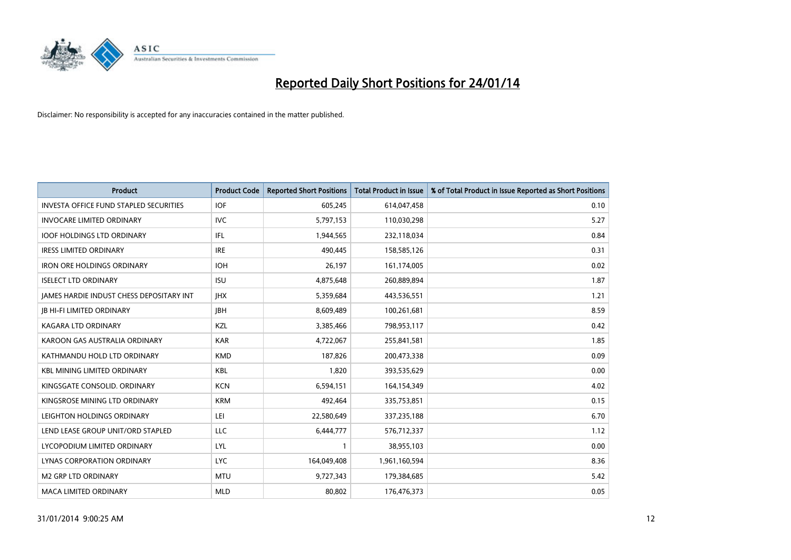

| <b>Product</b>                                | <b>Product Code</b> | <b>Reported Short Positions</b> | <b>Total Product in Issue</b> | % of Total Product in Issue Reported as Short Positions |
|-----------------------------------------------|---------------------|---------------------------------|-------------------------------|---------------------------------------------------------|
| <b>INVESTA OFFICE FUND STAPLED SECURITIES</b> | <b>IOF</b>          | 605,245                         | 614,047,458                   | 0.10                                                    |
| <b>INVOCARE LIMITED ORDINARY</b>              | IVC                 | 5,797,153                       | 110,030,298                   | 5.27                                                    |
| <b>IOOF HOLDINGS LTD ORDINARY</b>             | IFL                 | 1,944,565                       | 232,118,034                   | 0.84                                                    |
| <b>IRESS LIMITED ORDINARY</b>                 | <b>IRE</b>          | 490,445                         | 158,585,126                   | 0.31                                                    |
| <b>IRON ORE HOLDINGS ORDINARY</b>             | <b>IOH</b>          | 26,197                          | 161,174,005                   | 0.02                                                    |
| <b>ISELECT LTD ORDINARY</b>                   | <b>ISU</b>          | 4,875,648                       | 260,889,894                   | 1.87                                                    |
| JAMES HARDIE INDUST CHESS DEPOSITARY INT      | <b>JHX</b>          | 5,359,684                       | 443,536,551                   | 1.21                                                    |
| <b>JB HI-FI LIMITED ORDINARY</b>              | <b>IBH</b>          | 8,609,489                       | 100,261,681                   | 8.59                                                    |
| <b>KAGARA LTD ORDINARY</b>                    | KZL                 | 3,385,466                       | 798,953,117                   | 0.42                                                    |
| KAROON GAS AUSTRALIA ORDINARY                 | <b>KAR</b>          | 4,722,067                       | 255,841,581                   | 1.85                                                    |
| KATHMANDU HOLD LTD ORDINARY                   | <b>KMD</b>          | 187,826                         | 200,473,338                   | 0.09                                                    |
| <b>KBL MINING LIMITED ORDINARY</b>            | <b>KBL</b>          | 1,820                           | 393,535,629                   | 0.00                                                    |
| KINGSGATE CONSOLID. ORDINARY                  | <b>KCN</b>          | 6,594,151                       | 164,154,349                   | 4.02                                                    |
| KINGSROSE MINING LTD ORDINARY                 | <b>KRM</b>          | 492,464                         | 335,753,851                   | 0.15                                                    |
| LEIGHTON HOLDINGS ORDINARY                    | LEI                 | 22,580,649                      | 337,235,188                   | 6.70                                                    |
| LEND LEASE GROUP UNIT/ORD STAPLED             | LLC                 | 6,444,777                       | 576,712,337                   | 1.12                                                    |
| LYCOPODIUM LIMITED ORDINARY                   | <b>LYL</b>          | $\mathbf{1}$                    | 38,955,103                    | 0.00                                                    |
| LYNAS CORPORATION ORDINARY                    | <b>LYC</b>          | 164,049,408                     | 1,961,160,594                 | 8.36                                                    |
| <b>M2 GRP LTD ORDINARY</b>                    | <b>MTU</b>          | 9,727,343                       | 179,384,685                   | 5.42                                                    |
| <b>MACA LIMITED ORDINARY</b>                  | <b>MLD</b>          | 80,802                          | 176,476,373                   | 0.05                                                    |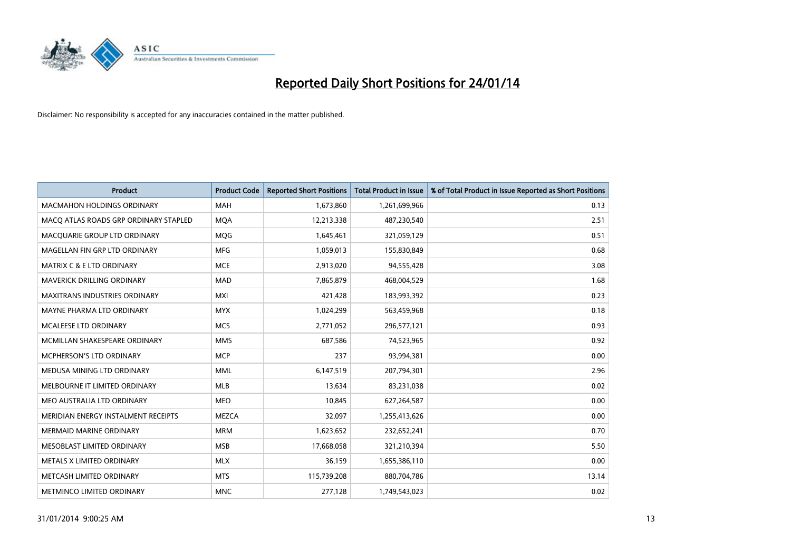

| <b>Product</b>                        | <b>Product Code</b> | <b>Reported Short Positions</b> | <b>Total Product in Issue</b> | % of Total Product in Issue Reported as Short Positions |
|---------------------------------------|---------------------|---------------------------------|-------------------------------|---------------------------------------------------------|
| <b>MACMAHON HOLDINGS ORDINARY</b>     | <b>MAH</b>          | 1,673,860                       | 1,261,699,966                 | 0.13                                                    |
| MACQ ATLAS ROADS GRP ORDINARY STAPLED | <b>MQA</b>          | 12,213,338                      | 487,230,540                   | 2.51                                                    |
| MACQUARIE GROUP LTD ORDINARY          | <b>MOG</b>          | 1,645,461                       | 321,059,129                   | 0.51                                                    |
| MAGELLAN FIN GRP LTD ORDINARY         | <b>MFG</b>          | 1,059,013                       | 155,830,849                   | 0.68                                                    |
| <b>MATRIX C &amp; E LTD ORDINARY</b>  | <b>MCE</b>          | 2,913,020                       | 94,555,428                    | 3.08                                                    |
| MAVERICK DRILLING ORDINARY            | <b>MAD</b>          | 7,865,879                       | 468,004,529                   | 1.68                                                    |
| MAXITRANS INDUSTRIES ORDINARY         | <b>MXI</b>          | 421,428                         | 183,993,392                   | 0.23                                                    |
| MAYNE PHARMA LTD ORDINARY             | <b>MYX</b>          | 1,024,299                       | 563,459,968                   | 0.18                                                    |
| <b>MCALEESE LTD ORDINARY</b>          | <b>MCS</b>          | 2,771,052                       | 296,577,121                   | 0.93                                                    |
| MCMILLAN SHAKESPEARE ORDINARY         | <b>MMS</b>          | 687,586                         | 74,523,965                    | 0.92                                                    |
| MCPHERSON'S LTD ORDINARY              | <b>MCP</b>          | 237                             | 93,994,381                    | 0.00                                                    |
| MEDUSA MINING LTD ORDINARY            | <b>MML</b>          | 6,147,519                       | 207,794,301                   | 2.96                                                    |
| MELBOURNE IT LIMITED ORDINARY         | <b>MLB</b>          | 13,634                          | 83,231,038                    | 0.02                                                    |
| MEO AUSTRALIA LTD ORDINARY            | <b>MEO</b>          | 10,845                          | 627,264,587                   | 0.00                                                    |
| MERIDIAN ENERGY INSTALMENT RECEIPTS   | <b>MEZCA</b>        | 32,097                          | 1,255,413,626                 | 0.00                                                    |
| MERMAID MARINE ORDINARY               | <b>MRM</b>          | 1,623,652                       | 232,652,241                   | 0.70                                                    |
| MESOBLAST LIMITED ORDINARY            | <b>MSB</b>          | 17,668,058                      | 321,210,394                   | 5.50                                                    |
| METALS X LIMITED ORDINARY             | <b>MLX</b>          | 36,159                          | 1,655,386,110                 | 0.00                                                    |
| METCASH LIMITED ORDINARY              | <b>MTS</b>          | 115,739,208                     | 880,704,786                   | 13.14                                                   |
| METMINCO LIMITED ORDINARY             | <b>MNC</b>          | 277,128                         | 1,749,543,023                 | 0.02                                                    |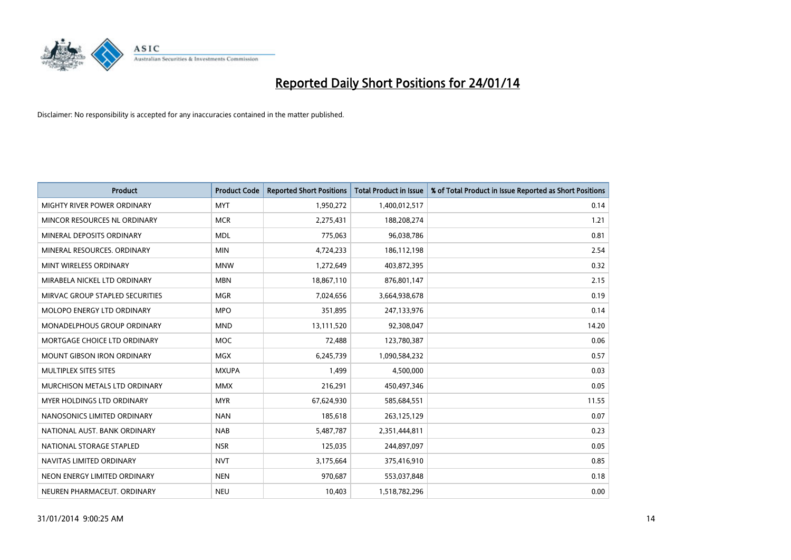

| <b>Product</b>                    | <b>Product Code</b> | <b>Reported Short Positions</b> | <b>Total Product in Issue</b> | % of Total Product in Issue Reported as Short Positions |
|-----------------------------------|---------------------|---------------------------------|-------------------------------|---------------------------------------------------------|
| MIGHTY RIVER POWER ORDINARY       | <b>MYT</b>          | 1,950,272                       | 1,400,012,517                 | 0.14                                                    |
| MINCOR RESOURCES NL ORDINARY      | <b>MCR</b>          | 2,275,431                       | 188,208,274                   | 1.21                                                    |
| MINERAL DEPOSITS ORDINARY         | <b>MDL</b>          | 775,063                         | 96,038,786                    | 0.81                                                    |
| MINERAL RESOURCES, ORDINARY       | <b>MIN</b>          | 4,724,233                       | 186,112,198                   | 2.54                                                    |
| MINT WIRELESS ORDINARY            | <b>MNW</b>          | 1,272,649                       | 403,872,395                   | 0.32                                                    |
| MIRABELA NICKEL LTD ORDINARY      | <b>MBN</b>          | 18,867,110                      | 876,801,147                   | 2.15                                                    |
| MIRVAC GROUP STAPLED SECURITIES   | <b>MGR</b>          | 7,024,656                       | 3,664,938,678                 | 0.19                                                    |
| MOLOPO ENERGY LTD ORDINARY        | <b>MPO</b>          | 351,895                         | 247,133,976                   | 0.14                                                    |
| MONADELPHOUS GROUP ORDINARY       | <b>MND</b>          | 13,111,520                      | 92,308,047                    | 14.20                                                   |
| MORTGAGE CHOICE LTD ORDINARY      | <b>MOC</b>          | 72,488                          | 123,780,387                   | 0.06                                                    |
| <b>MOUNT GIBSON IRON ORDINARY</b> | <b>MGX</b>          | 6,245,739                       | 1,090,584,232                 | 0.57                                                    |
| MULTIPLEX SITES SITES             | <b>MXUPA</b>        | 1,499                           | 4,500,000                     | 0.03                                                    |
| MURCHISON METALS LTD ORDINARY     | <b>MMX</b>          | 216,291                         | 450,497,346                   | 0.05                                                    |
| MYER HOLDINGS LTD ORDINARY        | <b>MYR</b>          | 67,624,930                      | 585,684,551                   | 11.55                                                   |
| NANOSONICS LIMITED ORDINARY       | <b>NAN</b>          | 185,618                         | 263,125,129                   | 0.07                                                    |
| NATIONAL AUST, BANK ORDINARY      | <b>NAB</b>          | 5,487,787                       | 2,351,444,811                 | 0.23                                                    |
| NATIONAL STORAGE STAPLED          | <b>NSR</b>          | 125,035                         | 244,897,097                   | 0.05                                                    |
| NAVITAS LIMITED ORDINARY          | <b>NVT</b>          | 3,175,664                       | 375,416,910                   | 0.85                                                    |
| NEON ENERGY LIMITED ORDINARY      | <b>NEN</b>          | 970,687                         | 553,037,848                   | 0.18                                                    |
| NEUREN PHARMACEUT, ORDINARY       | <b>NEU</b>          | 10,403                          | 1,518,782,296                 | 0.00                                                    |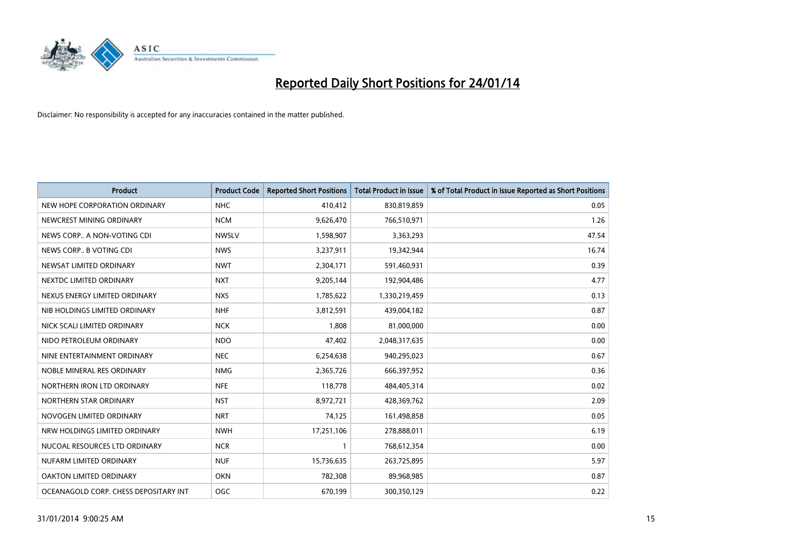

| <b>Product</b>                        | <b>Product Code</b> | <b>Reported Short Positions</b> | <b>Total Product in Issue</b> | % of Total Product in Issue Reported as Short Positions |
|---------------------------------------|---------------------|---------------------------------|-------------------------------|---------------------------------------------------------|
| NEW HOPE CORPORATION ORDINARY         | <b>NHC</b>          | 410,412                         | 830,819,859                   | 0.05                                                    |
| NEWCREST MINING ORDINARY              | <b>NCM</b>          | 9,626,470                       | 766,510,971                   | 1.26                                                    |
| NEWS CORP A NON-VOTING CDI            | <b>NWSLV</b>        | 1,598,907                       | 3,363,293                     | 47.54                                                   |
| NEWS CORP B VOTING CDI                | <b>NWS</b>          | 3,237,911                       | 19,342,944                    | 16.74                                                   |
| NEWSAT LIMITED ORDINARY               | <b>NWT</b>          | 2,304,171                       | 591,460,931                   | 0.39                                                    |
| NEXTDC LIMITED ORDINARY               | <b>NXT</b>          | 9,205,144                       | 192,904,486                   | 4.77                                                    |
| NEXUS ENERGY LIMITED ORDINARY         | <b>NXS</b>          | 1,785,622                       | 1,330,219,459                 | 0.13                                                    |
| NIB HOLDINGS LIMITED ORDINARY         | <b>NHF</b>          | 3,812,591                       | 439,004,182                   | 0.87                                                    |
| NICK SCALI LIMITED ORDINARY           | <b>NCK</b>          | 1,808                           | 81,000,000                    | 0.00                                                    |
| NIDO PETROLEUM ORDINARY               | <b>NDO</b>          | 47,402                          | 2,048,317,635                 | 0.00                                                    |
| NINE ENTERTAINMENT ORDINARY           | <b>NEC</b>          | 6,254,638                       | 940,295,023                   | 0.67                                                    |
| NOBLE MINERAL RES ORDINARY            | <b>NMG</b>          | 2,365,726                       | 666,397,952                   | 0.36                                                    |
| NORTHERN IRON LTD ORDINARY            | <b>NFE</b>          | 118,778                         | 484,405,314                   | 0.02                                                    |
| NORTHERN STAR ORDINARY                | <b>NST</b>          | 8,972,721                       | 428,369,762                   | 2.09                                                    |
| NOVOGEN LIMITED ORDINARY              | <b>NRT</b>          | 74,125                          | 161,498,858                   | 0.05                                                    |
| NRW HOLDINGS LIMITED ORDINARY         | <b>NWH</b>          | 17,251,106                      | 278,888,011                   | 6.19                                                    |
| NUCOAL RESOURCES LTD ORDINARY         | <b>NCR</b>          | 1                               | 768,612,354                   | 0.00                                                    |
| NUFARM LIMITED ORDINARY               | <b>NUF</b>          | 15,736,635                      | 263,725,895                   | 5.97                                                    |
| <b>OAKTON LIMITED ORDINARY</b>        | <b>OKN</b>          | 782,308                         | 89,968,985                    | 0.87                                                    |
| OCEANAGOLD CORP. CHESS DEPOSITARY INT | <b>OGC</b>          | 670,199                         | 300,350,129                   | 0.22                                                    |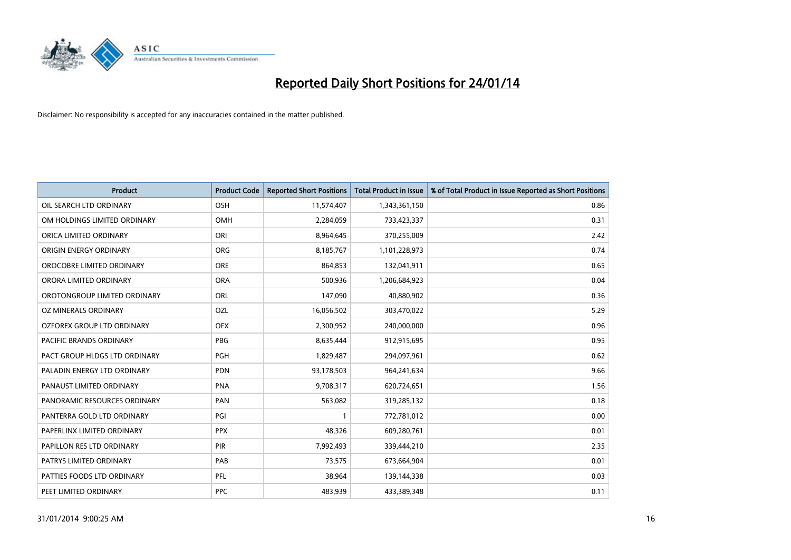

| <b>Product</b>                 | <b>Product Code</b> | <b>Reported Short Positions</b> | <b>Total Product in Issue</b> | % of Total Product in Issue Reported as Short Positions |
|--------------------------------|---------------------|---------------------------------|-------------------------------|---------------------------------------------------------|
| OIL SEARCH LTD ORDINARY        | OSH                 | 11,574,407                      | 1,343,361,150                 | 0.86                                                    |
| OM HOLDINGS LIMITED ORDINARY   | OMH                 | 2,284,059                       | 733,423,337                   | 0.31                                                    |
| ORICA LIMITED ORDINARY         | ORI                 | 8,964,645                       | 370,255,009                   | 2.42                                                    |
| ORIGIN ENERGY ORDINARY         | <b>ORG</b>          | 8,185,767                       | 1,101,228,973                 | 0.74                                                    |
| OROCOBRE LIMITED ORDINARY      | <b>ORE</b>          | 864,853                         | 132,041,911                   | 0.65                                                    |
| ORORA LIMITED ORDINARY         | <b>ORA</b>          | 500,936                         | 1,206,684,923                 | 0.04                                                    |
| OROTONGROUP LIMITED ORDINARY   | ORL                 | 147,090                         | 40,880,902                    | 0.36                                                    |
| OZ MINERALS ORDINARY           | OZL                 | 16,056,502                      | 303,470,022                   | 5.29                                                    |
| OZFOREX GROUP LTD ORDINARY     | <b>OFX</b>          | 2,300,952                       | 240,000,000                   | 0.96                                                    |
| <b>PACIFIC BRANDS ORDINARY</b> | <b>PBG</b>          | 8,635,444                       | 912,915,695                   | 0.95                                                    |
| PACT GROUP HLDGS LTD ORDINARY  | <b>PGH</b>          | 1,829,487                       | 294,097,961                   | 0.62                                                    |
| PALADIN ENERGY LTD ORDINARY    | <b>PDN</b>          | 93,178,503                      | 964,241,634                   | 9.66                                                    |
| PANAUST LIMITED ORDINARY       | <b>PNA</b>          | 9,708,317                       | 620,724,651                   | 1.56                                                    |
| PANORAMIC RESOURCES ORDINARY   | PAN                 | 563,082                         | 319,285,132                   | 0.18                                                    |
| PANTERRA GOLD LTD ORDINARY     | PGI                 | $\mathbf{1}$                    | 772,781,012                   | 0.00                                                    |
| PAPERLINX LIMITED ORDINARY     | <b>PPX</b>          | 48,326                          | 609,280,761                   | 0.01                                                    |
| PAPILLON RES LTD ORDINARY      | PIR                 | 7,992,493                       | 339,444,210                   | 2.35                                                    |
| PATRYS LIMITED ORDINARY        | PAB                 | 73,575                          | 673,664,904                   | 0.01                                                    |
| PATTIES FOODS LTD ORDINARY     | <b>PFL</b>          | 38,964                          | 139,144,338                   | 0.03                                                    |
| PEET LIMITED ORDINARY          | <b>PPC</b>          | 483,939                         | 433,389,348                   | 0.11                                                    |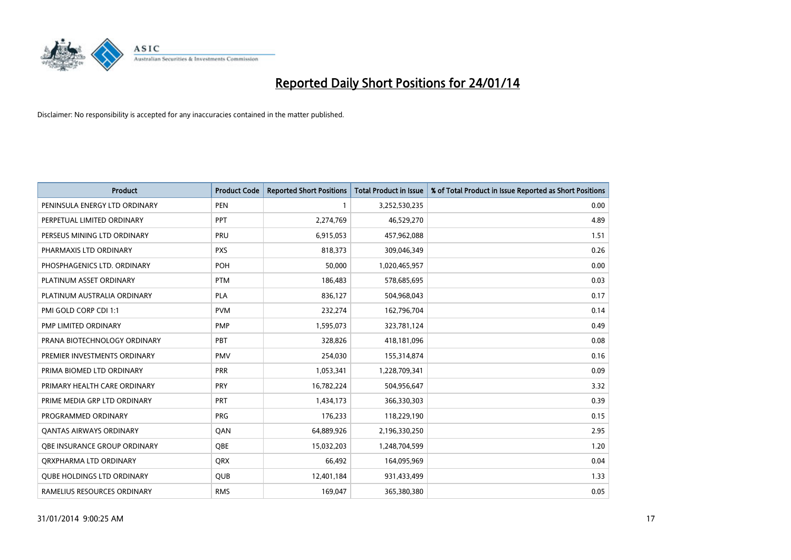

| <b>Product</b>                    | <b>Product Code</b> | <b>Reported Short Positions</b> | <b>Total Product in Issue</b> | % of Total Product in Issue Reported as Short Positions |
|-----------------------------------|---------------------|---------------------------------|-------------------------------|---------------------------------------------------------|
| PENINSULA ENERGY LTD ORDINARY     | <b>PEN</b>          | 1                               | 3,252,530,235                 | 0.00                                                    |
| PERPETUAL LIMITED ORDINARY        | <b>PPT</b>          | 2,274,769                       | 46,529,270                    | 4.89                                                    |
| PERSEUS MINING LTD ORDINARY       | <b>PRU</b>          | 6,915,053                       | 457,962,088                   | 1.51                                                    |
| PHARMAXIS LTD ORDINARY            | <b>PXS</b>          | 818,373                         | 309,046,349                   | 0.26                                                    |
| PHOSPHAGENICS LTD. ORDINARY       | POH                 | 50,000                          | 1,020,465,957                 | 0.00                                                    |
| PLATINUM ASSET ORDINARY           | <b>PTM</b>          | 186,483                         | 578,685,695                   | 0.03                                                    |
| PLATINUM AUSTRALIA ORDINARY       | <b>PLA</b>          | 836,127                         | 504,968,043                   | 0.17                                                    |
| PMI GOLD CORP CDI 1:1             | <b>PVM</b>          | 232,274                         | 162,796,704                   | 0.14                                                    |
| <b>PMP LIMITED ORDINARY</b>       | <b>PMP</b>          | 1,595,073                       | 323,781,124                   | 0.49                                                    |
| PRANA BIOTECHNOLOGY ORDINARY      | PBT                 | 328,826                         | 418,181,096                   | 0.08                                                    |
| PREMIER INVESTMENTS ORDINARY      | <b>PMV</b>          | 254,030                         | 155,314,874                   | 0.16                                                    |
| PRIMA BIOMED LTD ORDINARY         | <b>PRR</b>          | 1,053,341                       | 1,228,709,341                 | 0.09                                                    |
| PRIMARY HEALTH CARE ORDINARY      | <b>PRY</b>          | 16,782,224                      | 504,956,647                   | 3.32                                                    |
| PRIME MEDIA GRP LTD ORDINARY      | <b>PRT</b>          | 1,434,173                       | 366,330,303                   | 0.39                                                    |
| PROGRAMMED ORDINARY               | <b>PRG</b>          | 176,233                         | 118,229,190                   | 0.15                                                    |
| <b>QANTAS AIRWAYS ORDINARY</b>    | QAN                 | 64,889,926                      | 2,196,330,250                 | 2.95                                                    |
| OBE INSURANCE GROUP ORDINARY      | QBE                 | 15,032,203                      | 1,248,704,599                 | 1.20                                                    |
| ORXPHARMA LTD ORDINARY            | <b>QRX</b>          | 66,492                          | 164,095,969                   | 0.04                                                    |
| <b>QUBE HOLDINGS LTD ORDINARY</b> | <b>QUB</b>          | 12,401,184                      | 931,433,499                   | 1.33                                                    |
| RAMELIUS RESOURCES ORDINARY       | <b>RMS</b>          | 169,047                         | 365,380,380                   | 0.05                                                    |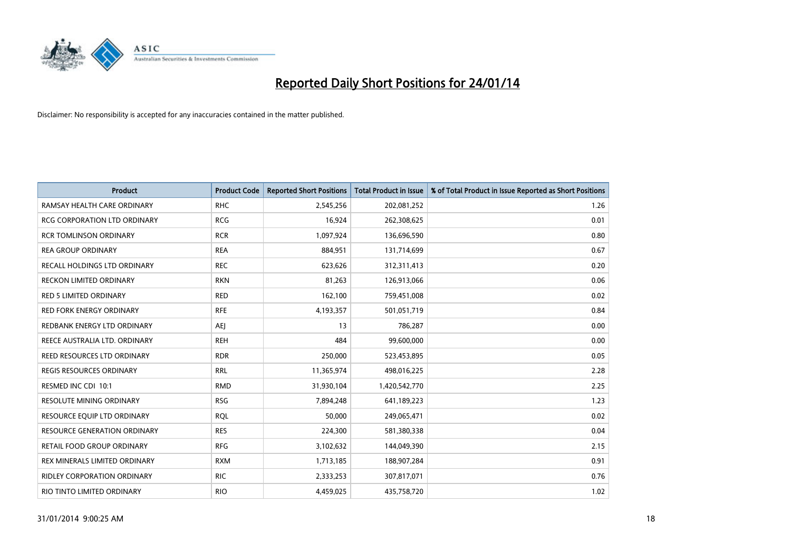

| <b>Product</b>                      | <b>Product Code</b> | <b>Reported Short Positions</b> | <b>Total Product in Issue</b> | % of Total Product in Issue Reported as Short Positions |
|-------------------------------------|---------------------|---------------------------------|-------------------------------|---------------------------------------------------------|
| RAMSAY HEALTH CARE ORDINARY         | <b>RHC</b>          | 2,545,256                       | 202,081,252                   | 1.26                                                    |
| RCG CORPORATION LTD ORDINARY        | <b>RCG</b>          | 16,924                          | 262,308,625                   | 0.01                                                    |
| <b>RCR TOMLINSON ORDINARY</b>       | <b>RCR</b>          | 1,097,924                       | 136,696,590                   | 0.80                                                    |
| <b>REA GROUP ORDINARY</b>           | <b>REA</b>          | 884,951                         | 131,714,699                   | 0.67                                                    |
| RECALL HOLDINGS LTD ORDINARY        | <b>REC</b>          | 623,626                         | 312,311,413                   | 0.20                                                    |
| <b>RECKON LIMITED ORDINARY</b>      | <b>RKN</b>          | 81,263                          | 126,913,066                   | 0.06                                                    |
| <b>RED 5 LIMITED ORDINARY</b>       | <b>RED</b>          | 162,100                         | 759,451,008                   | 0.02                                                    |
| RED FORK ENERGY ORDINARY            | <b>RFE</b>          | 4,193,357                       | 501,051,719                   | 0.84                                                    |
| REDBANK ENERGY LTD ORDINARY         | AEJ                 | 13                              | 786,287                       | 0.00                                                    |
| REECE AUSTRALIA LTD. ORDINARY       | <b>REH</b>          | 484                             | 99,600,000                    | 0.00                                                    |
| REED RESOURCES LTD ORDINARY         | <b>RDR</b>          | 250,000                         | 523,453,895                   | 0.05                                                    |
| <b>REGIS RESOURCES ORDINARY</b>     | <b>RRL</b>          | 11,365,974                      | 498,016,225                   | 2.28                                                    |
| RESMED INC CDI 10:1                 | <b>RMD</b>          | 31,930,104                      | 1,420,542,770                 | 2.25                                                    |
| <b>RESOLUTE MINING ORDINARY</b>     | <b>RSG</b>          | 7,894,248                       | 641,189,223                   | 1.23                                                    |
| RESOURCE EQUIP LTD ORDINARY         | <b>RQL</b>          | 50,000                          | 249,065,471                   | 0.02                                                    |
| <b>RESOURCE GENERATION ORDINARY</b> | <b>RES</b>          | 224,300                         | 581,380,338                   | 0.04                                                    |
| RETAIL FOOD GROUP ORDINARY          | <b>RFG</b>          | 3,102,632                       | 144,049,390                   | 2.15                                                    |
| REX MINERALS LIMITED ORDINARY       | <b>RXM</b>          | 1,713,185                       | 188,907,284                   | 0.91                                                    |
| <b>RIDLEY CORPORATION ORDINARY</b>  | <b>RIC</b>          | 2,333,253                       | 307,817,071                   | 0.76                                                    |
| RIO TINTO LIMITED ORDINARY          | <b>RIO</b>          | 4,459,025                       | 435,758,720                   | 1.02                                                    |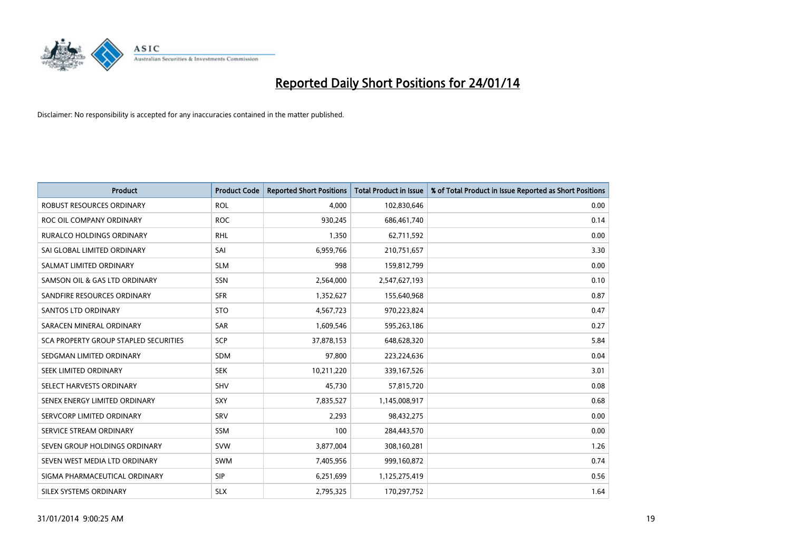

| <b>Product</b>                        | <b>Product Code</b> | <b>Reported Short Positions</b> | <b>Total Product in Issue</b> | % of Total Product in Issue Reported as Short Positions |
|---------------------------------------|---------------------|---------------------------------|-------------------------------|---------------------------------------------------------|
| <b>ROBUST RESOURCES ORDINARY</b>      | <b>ROL</b>          | 4,000                           | 102,830,646                   | 0.00                                                    |
| ROC OIL COMPANY ORDINARY              | <b>ROC</b>          | 930,245                         | 686,461,740                   | 0.14                                                    |
| <b>RURALCO HOLDINGS ORDINARY</b>      | <b>RHL</b>          | 1,350                           | 62,711,592                    | 0.00                                                    |
| SAI GLOBAL LIMITED ORDINARY           | SAI                 | 6,959,766                       | 210,751,657                   | 3.30                                                    |
| SALMAT LIMITED ORDINARY               | <b>SLM</b>          | 998                             | 159,812,799                   | 0.00                                                    |
| SAMSON OIL & GAS LTD ORDINARY         | SSN                 | 2,564,000                       | 2,547,627,193                 | 0.10                                                    |
| SANDFIRE RESOURCES ORDINARY           | <b>SFR</b>          | 1,352,627                       | 155,640,968                   | 0.87                                                    |
| <b>SANTOS LTD ORDINARY</b>            | <b>STO</b>          | 4,567,723                       | 970,223,824                   | 0.47                                                    |
| SARACEN MINERAL ORDINARY              | <b>SAR</b>          | 1,609,546                       | 595,263,186                   | 0.27                                                    |
| SCA PROPERTY GROUP STAPLED SECURITIES | SCP                 | 37,878,153                      | 648,628,320                   | 5.84                                                    |
| SEDGMAN LIMITED ORDINARY              | SDM                 | 97,800                          | 223,224,636                   | 0.04                                                    |
| SEEK LIMITED ORDINARY                 | <b>SEK</b>          | 10,211,220                      | 339,167,526                   | 3.01                                                    |
| SELECT HARVESTS ORDINARY              | <b>SHV</b>          | 45,730                          | 57,815,720                    | 0.08                                                    |
| SENEX ENERGY LIMITED ORDINARY         | <b>SXY</b>          | 7,835,527                       | 1,145,008,917                 | 0.68                                                    |
| SERVCORP LIMITED ORDINARY             | SRV                 | 2,293                           | 98,432,275                    | 0.00                                                    |
| SERVICE STREAM ORDINARY               | <b>SSM</b>          | 100                             | 284,443,570                   | 0.00                                                    |
| SEVEN GROUP HOLDINGS ORDINARY         | <b>SVW</b>          | 3,877,004                       | 308,160,281                   | 1.26                                                    |
| SEVEN WEST MEDIA LTD ORDINARY         | <b>SWM</b>          | 7,405,956                       | 999,160,872                   | 0.74                                                    |
| SIGMA PHARMACEUTICAL ORDINARY         | <b>SIP</b>          | 6,251,699                       | 1,125,275,419                 | 0.56                                                    |
| SILEX SYSTEMS ORDINARY                | <b>SLX</b>          | 2,795,325                       | 170,297,752                   | 1.64                                                    |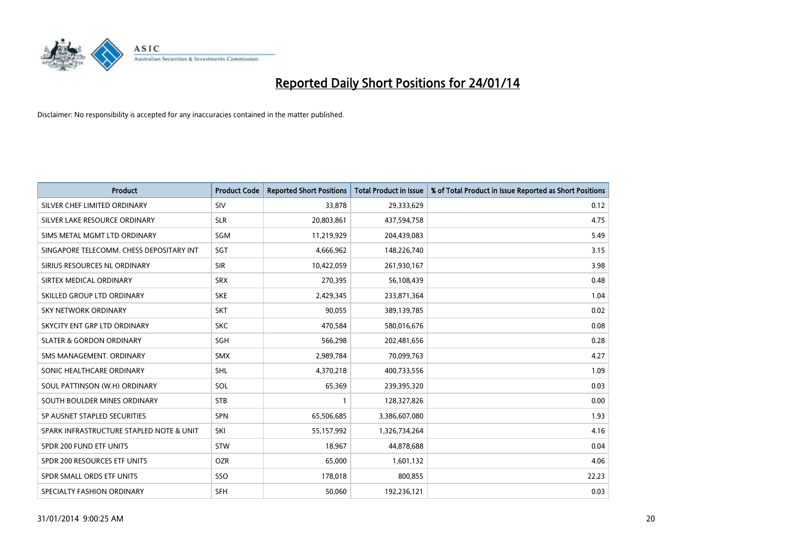

| <b>Product</b>                           | <b>Product Code</b> | <b>Reported Short Positions</b> | <b>Total Product in Issue</b> | % of Total Product in Issue Reported as Short Positions |
|------------------------------------------|---------------------|---------------------------------|-------------------------------|---------------------------------------------------------|
| SILVER CHEF LIMITED ORDINARY             | SIV                 | 33,878                          | 29,333,629                    | 0.12                                                    |
| SILVER LAKE RESOURCE ORDINARY            | <b>SLR</b>          | 20,803,861                      | 437,594,758                   | 4.75                                                    |
| SIMS METAL MGMT LTD ORDINARY             | SGM                 | 11,219,929                      | 204,439,083                   | 5.49                                                    |
| SINGAPORE TELECOMM. CHESS DEPOSITARY INT | SGT                 | 4,666,962                       | 148,226,740                   | 3.15                                                    |
| SIRIUS RESOURCES NL ORDINARY             | <b>SIR</b>          | 10,422,059                      | 261,930,167                   | 3.98                                                    |
| SIRTEX MEDICAL ORDINARY                  | <b>SRX</b>          | 270,395                         | 56,108,439                    | 0.48                                                    |
| SKILLED GROUP LTD ORDINARY               | <b>SKE</b>          | 2,429,345                       | 233,871,364                   | 1.04                                                    |
| <b>SKY NETWORK ORDINARY</b>              | <b>SKT</b>          | 90,055                          | 389,139,785                   | 0.02                                                    |
| SKYCITY ENT GRP LTD ORDINARY             | <b>SKC</b>          | 470,584                         | 580,016,676                   | 0.08                                                    |
| <b>SLATER &amp; GORDON ORDINARY</b>      | SGH                 | 566,298                         | 202,481,656                   | 0.28                                                    |
| SMS MANAGEMENT, ORDINARY                 | <b>SMX</b>          | 2,989,784                       | 70,099,763                    | 4.27                                                    |
| SONIC HEALTHCARE ORDINARY                | <b>SHL</b>          | 4,370,218                       | 400,733,556                   | 1.09                                                    |
| SOUL PATTINSON (W.H) ORDINARY            | SOL                 | 65,369                          | 239,395,320                   | 0.03                                                    |
| SOUTH BOULDER MINES ORDINARY             | <b>STB</b>          | 1                               | 128,327,826                   | 0.00                                                    |
| SP AUSNET STAPLED SECURITIES             | <b>SPN</b>          | 65,506,685                      | 3,386,607,080                 | 1.93                                                    |
| SPARK INFRASTRUCTURE STAPLED NOTE & UNIT | SKI                 | 55,157,992                      | 1,326,734,264                 | 4.16                                                    |
| SPDR 200 FUND ETF UNITS                  | <b>STW</b>          | 18,967                          | 44,878,688                    | 0.04                                                    |
| SPDR 200 RESOURCES ETF UNITS             | <b>OZR</b>          | 65,000                          | 1,601,132                     | 4.06                                                    |
| SPDR SMALL ORDS ETF UNITS                | SSO                 | 178,018                         | 800,855                       | 22.23                                                   |
| SPECIALTY FASHION ORDINARY               | SFH                 | 50,060                          | 192,236,121                   | 0.03                                                    |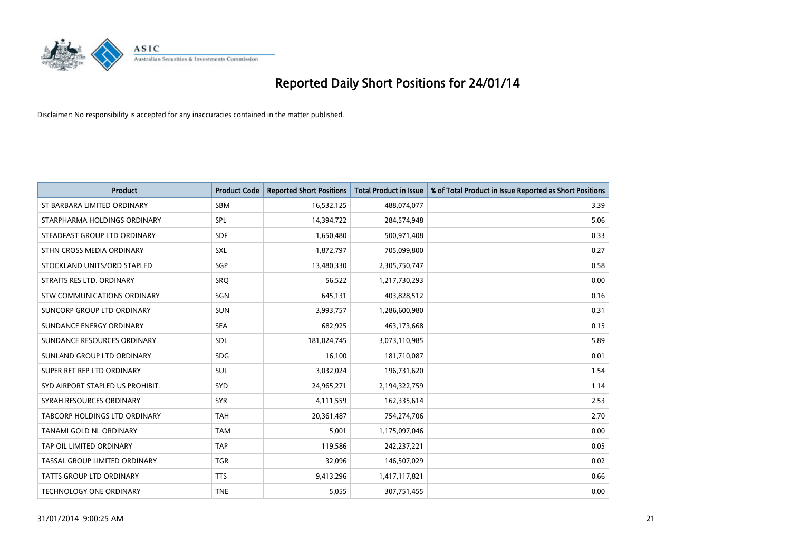

| <b>Product</b>                   | <b>Product Code</b> | <b>Reported Short Positions</b> | <b>Total Product in Issue</b> | % of Total Product in Issue Reported as Short Positions |
|----------------------------------|---------------------|---------------------------------|-------------------------------|---------------------------------------------------------|
| ST BARBARA LIMITED ORDINARY      | <b>SBM</b>          | 16,532,125                      | 488,074,077                   | 3.39                                                    |
| STARPHARMA HOLDINGS ORDINARY     | <b>SPL</b>          | 14,394,722                      | 284,574,948                   | 5.06                                                    |
| STEADFAST GROUP LTD ORDINARY     | <b>SDF</b>          | 1,650,480                       | 500,971,408                   | 0.33                                                    |
| STHN CROSS MEDIA ORDINARY        | SXL                 | 1,872,797                       | 705,099,800                   | 0.27                                                    |
| STOCKLAND UNITS/ORD STAPLED      | SGP                 | 13,480,330                      | 2,305,750,747                 | 0.58                                                    |
| STRAITS RES LTD. ORDINARY        | SRO                 | 56,522                          | 1,217,730,293                 | 0.00                                                    |
| STW COMMUNICATIONS ORDINARY      | SGN                 | 645,131                         | 403,828,512                   | 0.16                                                    |
| SUNCORP GROUP LTD ORDINARY       | <b>SUN</b>          | 3,993,757                       | 1,286,600,980                 | 0.31                                                    |
| SUNDANCE ENERGY ORDINARY         | <b>SEA</b>          | 682,925                         | 463,173,668                   | 0.15                                                    |
| SUNDANCE RESOURCES ORDINARY      | <b>SDL</b>          | 181,024,745                     | 3,073,110,985                 | 5.89                                                    |
| SUNLAND GROUP LTD ORDINARY       | <b>SDG</b>          | 16,100                          | 181,710,087                   | 0.01                                                    |
| SUPER RET REP LTD ORDINARY       | <b>SUL</b>          | 3,032,024                       | 196,731,620                   | 1.54                                                    |
| SYD AIRPORT STAPLED US PROHIBIT. | <b>SYD</b>          | 24,965,271                      | 2,194,322,759                 | 1.14                                                    |
| SYRAH RESOURCES ORDINARY         | <b>SYR</b>          | 4,111,559                       | 162,335,614                   | 2.53                                                    |
| TABCORP HOLDINGS LTD ORDINARY    | <b>TAH</b>          | 20,361,487                      | 754,274,706                   | 2.70                                                    |
| TANAMI GOLD NL ORDINARY          | <b>TAM</b>          | 5,001                           | 1,175,097,046                 | 0.00                                                    |
| TAP OIL LIMITED ORDINARY         | <b>TAP</b>          | 119,586                         | 242,237,221                   | 0.05                                                    |
| TASSAL GROUP LIMITED ORDINARY    | <b>TGR</b>          | 32,096                          | 146,507,029                   | 0.02                                                    |
| <b>TATTS GROUP LTD ORDINARY</b>  | <b>TTS</b>          | 9,413,296                       | 1,417,117,821                 | 0.66                                                    |
| TECHNOLOGY ONE ORDINARY          | <b>TNE</b>          | 5,055                           | 307,751,455                   | 0.00                                                    |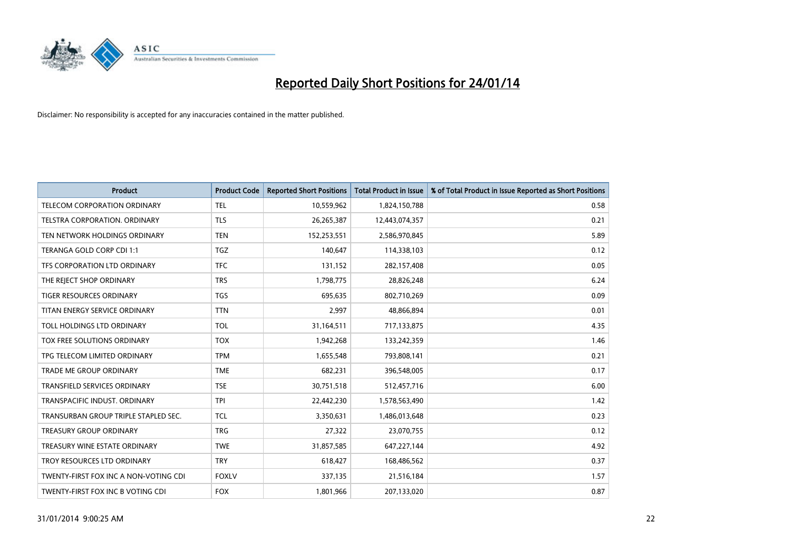

| <b>Product</b>                        | <b>Product Code</b> | <b>Reported Short Positions</b> | <b>Total Product in Issue</b> | % of Total Product in Issue Reported as Short Positions |
|---------------------------------------|---------------------|---------------------------------|-------------------------------|---------------------------------------------------------|
| <b>TELECOM CORPORATION ORDINARY</b>   | <b>TEL</b>          | 10,559,962                      | 1,824,150,788                 | 0.58                                                    |
| TELSTRA CORPORATION. ORDINARY         | <b>TLS</b>          | 26,265,387                      | 12,443,074,357                | 0.21                                                    |
| TEN NETWORK HOLDINGS ORDINARY         | <b>TEN</b>          | 152,253,551                     | 2,586,970,845                 | 5.89                                                    |
| TERANGA GOLD CORP CDI 1:1             | <b>TGZ</b>          | 140.647                         | 114,338,103                   | 0.12                                                    |
| TFS CORPORATION LTD ORDINARY          | <b>TFC</b>          | 131,152                         | 282,157,408                   | 0.05                                                    |
| THE REJECT SHOP ORDINARY              | <b>TRS</b>          | 1,798,775                       | 28,826,248                    | 6.24                                                    |
| <b>TIGER RESOURCES ORDINARY</b>       | <b>TGS</b>          | 695,635                         | 802,710,269                   | 0.09                                                    |
| TITAN ENERGY SERVICE ORDINARY         | <b>TTN</b>          | 2,997                           | 48,866,894                    | 0.01                                                    |
| TOLL HOLDINGS LTD ORDINARY            | <b>TOL</b>          | 31,164,511                      | 717,133,875                   | 4.35                                                    |
| TOX FREE SOLUTIONS ORDINARY           | <b>TOX</b>          | 1,942,268                       | 133,242,359                   | 1.46                                                    |
| TPG TELECOM LIMITED ORDINARY          | <b>TPM</b>          | 1,655,548                       | 793,808,141                   | 0.21                                                    |
| <b>TRADE ME GROUP ORDINARY</b>        | <b>TME</b>          | 682,231                         | 396,548,005                   | 0.17                                                    |
| TRANSFIELD SERVICES ORDINARY          | <b>TSE</b>          | 30,751,518                      | 512,457,716                   | 6.00                                                    |
| TRANSPACIFIC INDUST, ORDINARY         | <b>TPI</b>          | 22,442,230                      | 1,578,563,490                 | 1.42                                                    |
| TRANSURBAN GROUP TRIPLE STAPLED SEC.  | <b>TCL</b>          | 3,350,631                       | 1,486,013,648                 | 0.23                                                    |
| TREASURY GROUP ORDINARY               | <b>TRG</b>          | 27,322                          | 23,070,755                    | 0.12                                                    |
| TREASURY WINE ESTATE ORDINARY         | <b>TWE</b>          | 31,857,585                      | 647,227,144                   | 4.92                                                    |
| TROY RESOURCES LTD ORDINARY           | <b>TRY</b>          | 618,427                         | 168,486,562                   | 0.37                                                    |
| TWENTY-FIRST FOX INC A NON-VOTING CDI | <b>FOXLV</b>        | 337,135                         | 21,516,184                    | 1.57                                                    |
| TWENTY-FIRST FOX INC B VOTING CDI     | <b>FOX</b>          | 1,801,966                       | 207,133,020                   | 0.87                                                    |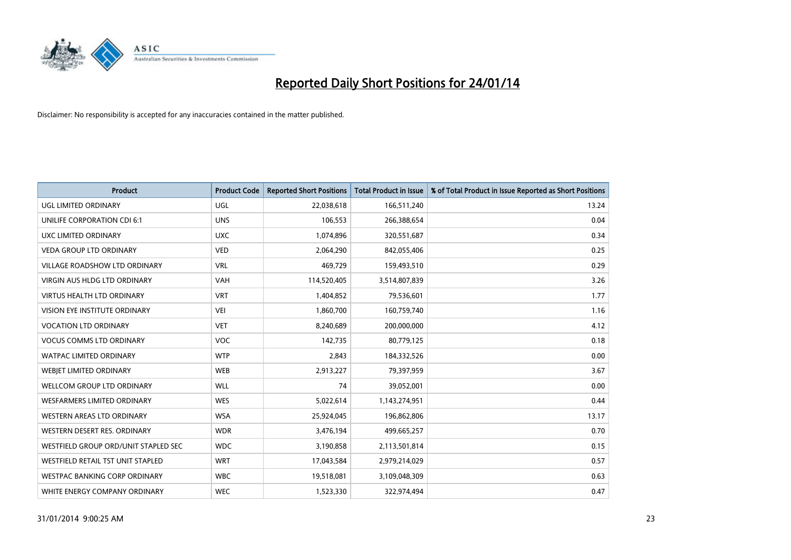

| <b>Product</b>                       | <b>Product Code</b> | <b>Reported Short Positions</b> | <b>Total Product in Issue</b> | % of Total Product in Issue Reported as Short Positions |
|--------------------------------------|---------------------|---------------------------------|-------------------------------|---------------------------------------------------------|
| <b>UGL LIMITED ORDINARY</b>          | UGL                 | 22,038,618                      | 166,511,240                   | 13.24                                                   |
| UNILIFE CORPORATION CDI 6:1          | <b>UNS</b>          | 106,553                         | 266,388,654                   | 0.04                                                    |
| UXC LIMITED ORDINARY                 | <b>UXC</b>          | 1,074,896                       | 320,551,687                   | 0.34                                                    |
| <b>VEDA GROUP LTD ORDINARY</b>       | <b>VED</b>          | 2,064,290                       | 842,055,406                   | 0.25                                                    |
| <b>VILLAGE ROADSHOW LTD ORDINARY</b> | <b>VRL</b>          | 469,729                         | 159,493,510                   | 0.29                                                    |
| <b>VIRGIN AUS HLDG LTD ORDINARY</b>  | <b>VAH</b>          | 114,520,405                     | 3,514,807,839                 | 3.26                                                    |
| <b>VIRTUS HEALTH LTD ORDINARY</b>    | <b>VRT</b>          | 1,404,852                       | 79,536,601                    | 1.77                                                    |
| VISION EYE INSTITUTE ORDINARY        | <b>VEI</b>          | 1,860,700                       | 160,759,740                   | 1.16                                                    |
| <b>VOCATION LTD ORDINARY</b>         | <b>VET</b>          | 8,240,689                       | 200,000,000                   | 4.12                                                    |
| <b>VOCUS COMMS LTD ORDINARY</b>      | <b>VOC</b>          | 142,735                         | 80,779,125                    | 0.18                                                    |
| WATPAC LIMITED ORDINARY              | <b>WTP</b>          | 2,843                           | 184,332,526                   | 0.00                                                    |
| WEBIET LIMITED ORDINARY              | <b>WEB</b>          | 2,913,227                       | 79,397,959                    | 3.67                                                    |
| WELLCOM GROUP LTD ORDINARY           | <b>WLL</b>          | 74                              | 39,052,001                    | 0.00                                                    |
| WESFARMERS LIMITED ORDINARY          | <b>WES</b>          | 5,022,614                       | 1,143,274,951                 | 0.44                                                    |
| WESTERN AREAS LTD ORDINARY           | <b>WSA</b>          | 25,924,045                      | 196,862,806                   | 13.17                                                   |
| WESTERN DESERT RES. ORDINARY         | <b>WDR</b>          | 3,476,194                       | 499,665,257                   | 0.70                                                    |
| WESTFIELD GROUP ORD/UNIT STAPLED SEC | <b>WDC</b>          | 3,190,858                       | 2,113,501,814                 | 0.15                                                    |
| WESTFIELD RETAIL TST UNIT STAPLED    | <b>WRT</b>          | 17,043,584                      | 2,979,214,029                 | 0.57                                                    |
| <b>WESTPAC BANKING CORP ORDINARY</b> | <b>WBC</b>          | 19,518,081                      | 3,109,048,309                 | 0.63                                                    |
| WHITE ENERGY COMPANY ORDINARY        | <b>WEC</b>          | 1,523,330                       | 322,974,494                   | 0.47                                                    |